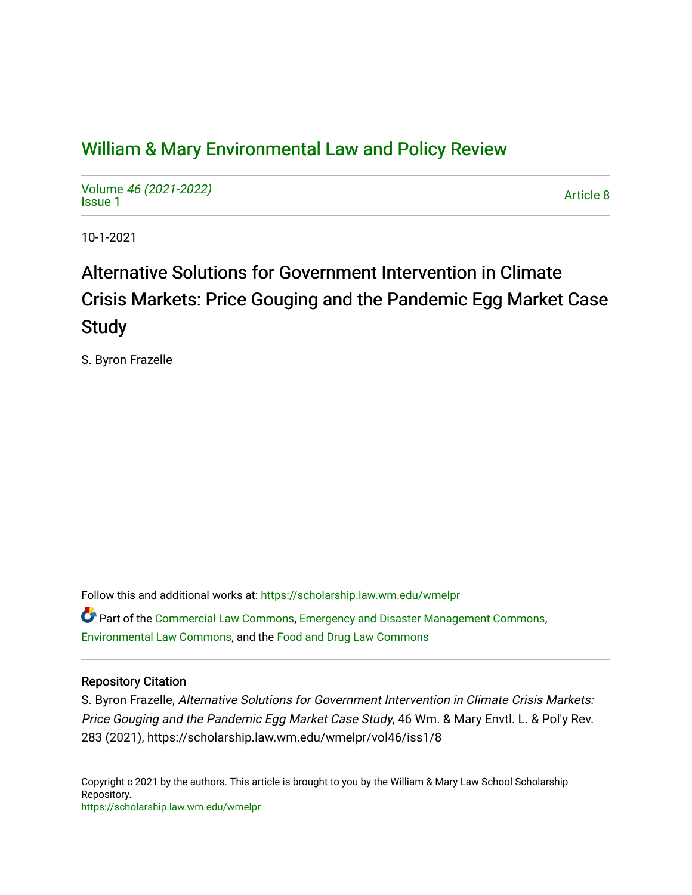# [William & Mary Environmental Law and Policy Review](https://scholarship.law.wm.edu/wmelpr)

Volume [46 \(2021-2022\)](https://scholarship.law.wm.edu/wmelpr/vol46)  volume 40 (2021-2022)<br>[Issue 1](https://scholarship.law.wm.edu/wmelpr/vol46/iss1)

10-1-2021

# Alternative Solutions for Government Intervention in Climate Crisis Markets: Price Gouging and the Pandemic Egg Market Case Study

S. Byron Frazelle

Follow this and additional works at: [https://scholarship.law.wm.edu/wmelpr](https://scholarship.law.wm.edu/wmelpr?utm_source=scholarship.law.wm.edu%2Fwmelpr%2Fvol46%2Fiss1%2F8&utm_medium=PDF&utm_campaign=PDFCoverPages)

Part of the [Commercial Law Commons](http://network.bepress.com/hgg/discipline/586?utm_source=scholarship.law.wm.edu%2Fwmelpr%2Fvol46%2Fiss1%2F8&utm_medium=PDF&utm_campaign=PDFCoverPages), [Emergency and Disaster Management Commons,](http://network.bepress.com/hgg/discipline/1321?utm_source=scholarship.law.wm.edu%2Fwmelpr%2Fvol46%2Fiss1%2F8&utm_medium=PDF&utm_campaign=PDFCoverPages) [Environmental Law Commons](http://network.bepress.com/hgg/discipline/599?utm_source=scholarship.law.wm.edu%2Fwmelpr%2Fvol46%2Fiss1%2F8&utm_medium=PDF&utm_campaign=PDFCoverPages), and the [Food and Drug Law Commons](http://network.bepress.com/hgg/discipline/844?utm_source=scholarship.law.wm.edu%2Fwmelpr%2Fvol46%2Fiss1%2F8&utm_medium=PDF&utm_campaign=PDFCoverPages) 

# Repository Citation

S. Byron Frazelle, Alternative Solutions for Government Intervention in Climate Crisis Markets: Price Gouging and the Pandemic Egg Market Case Study, 46 Wm. & Mary Envtl. L. & Pol'y Rev. 283 (2021), https://scholarship.law.wm.edu/wmelpr/vol46/iss1/8

Copyright c 2021 by the authors. This article is brought to you by the William & Mary Law School Scholarship Repository. <https://scholarship.law.wm.edu/wmelpr>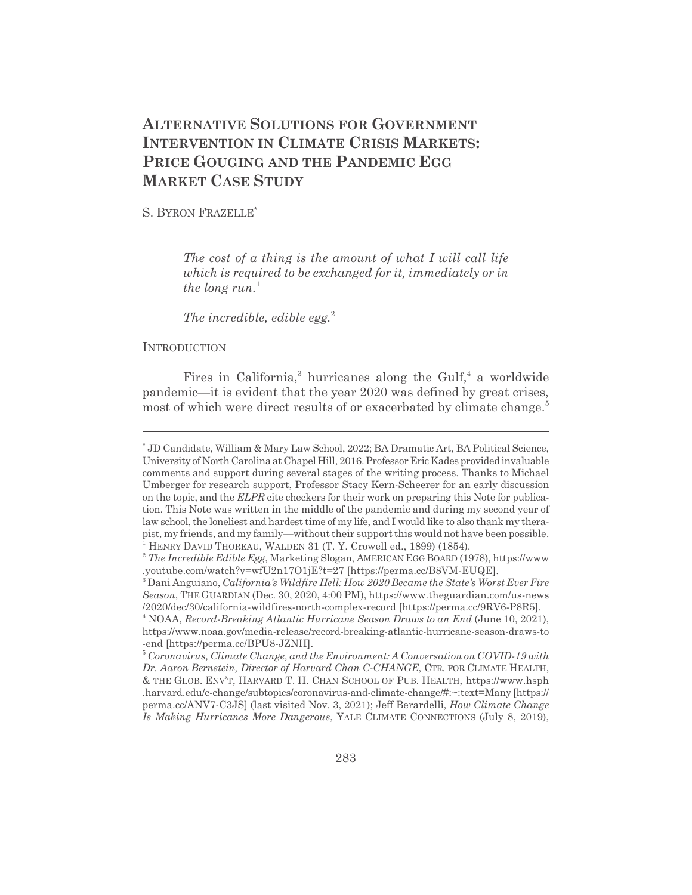# **ALTERNATIVE SOLUTIONS FOR GOVERNMENT INTERVENTION IN CLIMATE CRISIS MARKETS: PRICE GOUGING AND THE PANDEMIC EGG MARKET CASE STUDY**

S. BYRON FRAZELLE\*

*The cost of a thing is the amount of what I will call life which is required to be exchanged for it, immediately or in the long run.*<sup>1</sup>

*The incredible, edible egg.*<sup>2</sup>

# **INTRODUCTION**

Fires in California,<sup>3</sup> hurricanes along the Gulf,<sup>4</sup> a worldwide pandemic—it is evident that the year 2020 was defined by great crises, most of which were direct results of or exacerbated by climate change.<sup>5</sup>

<sup>\*</sup> JD Candidate, William & Mary Law School, 2022; BA Dramatic Art, BA Political Science, University of North Carolina at Chapel Hill, 2016. Professor Eric Kades provided invaluable comments and support during several stages of the writing process. Thanks to Michael Umberger for research support, Professor Stacy Kern-Scheerer for an early discussion on the topic, and the *ELPR* cite checkers for their work on preparing this Note for publication. This Note was written in the middle of the pandemic and during my second year of law school, the loneliest and hardest time of my life, and I would like to also thank my therapist, my friends, and my family—without their support this would not have been possible. <sup>1</sup> HENRY DAVID THOREAU, WALDEN 31 (T. Y. Crowell ed., 1899) (1854).

<sup>2</sup> *The Incredible Edible Egg*, Marketing Slogan, AMERICAN EGG BOARD (1978), https://www .youtube.com/watch?v=wfU2n17O1jE?t=27 [https://perma.cc/B8VM-EUQE].

<sup>3</sup> Dani Anguiano, *California's Wildfire Hell: How 2020 Became the State's Worst Ever Fire Season*, THEGUARDIAN (Dec. 30, 2020, 4:00 PM), https://www.theguardian.com/us-news /2020/dec/30/california-wildfires-north-complex-record [https://perma.cc/9RV6-P8R5].

<sup>4</sup> NOAA, *Record-Breaking Atlantic Hurricane Season Draws to an End* (June 10, 2021), https://www.noaa.gov/media-release/record-breaking-atlantic-hurricane-season-draws-to -end [https://perma.cc/BPU8-JZNH].

<sup>5</sup> *Coronavirus, Climate Change, and the Environment: A Conversation on COVID-19 with Dr. Aaron Bernstein, Director of Harvard Chan C-CHANGE*, CTR. FOR CLIMATE HEALTH, & THE GLOB. ENV'T, HARVARD T. H. CHAN SCHOOL OF PUB. HEALTH, https://www.hsph .harvard.edu/c-change/subtopics/coronavirus-and-climate-change/#:~:text=Many [https:// perma.cc/ANV7-C3JS] (last visited Nov. 3, 2021); Jeff Berardelli, *How Climate Change Is Making Hurricanes More Dangerous*, YALE CLIMATE CONNECTIONS (July 8, 2019),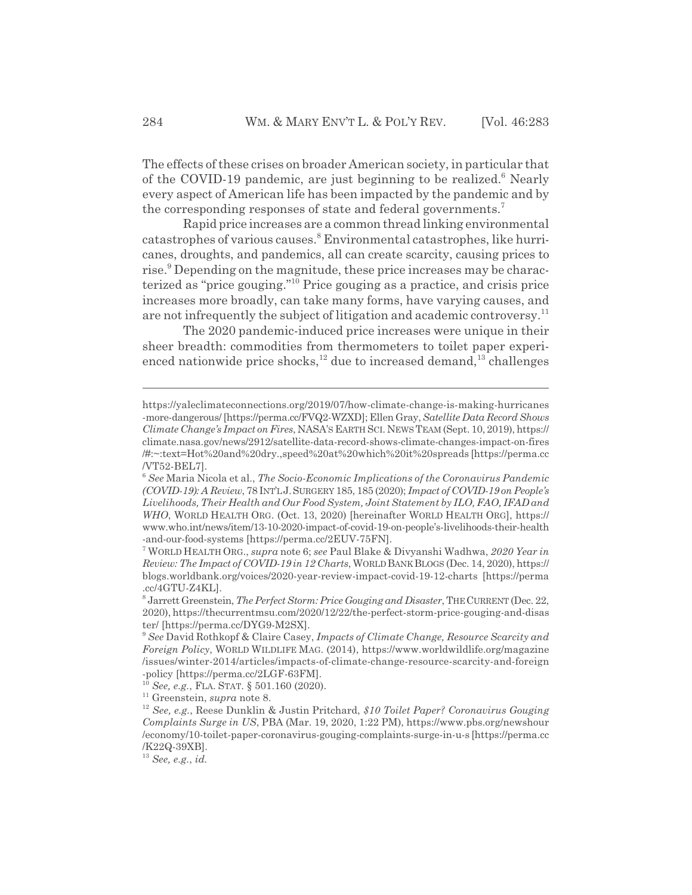The effects of these crises on broader American society, in particular that of the COVID-19 pandemic, are just beginning to be realized.<sup>6</sup> Nearly every aspect of American life has been impacted by the pandemic and by the corresponding responses of state and federal governments.<sup>7</sup>

Rapid price increases are a common thread linking environmental catastrophes of various causes.<sup>8</sup> Environmental catastrophes, like hurricanes, droughts, and pandemics, all can create scarcity, causing prices to rise.<sup>9</sup> Depending on the magnitude, these price increases may be characterized as "price gouging."10 Price gouging as a practice, and crisis price increases more broadly, can take many forms, have varying causes, and are not infrequently the subject of litigation and academic controversy.<sup>11</sup>

The 2020 pandemic-induced price increases were unique in their sheer breadth: commodities from thermometers to toilet paper experienced nationwide price shocks,<sup>12</sup> due to increased demand,<sup>13</sup> challenges

<sup>10</sup> *See, e.g.*, FLA. STAT. § 501.160 (2020).

<sup>13</sup> *See, e.g.*, *id.*

https://yaleclimateconnections.org/2019/07/how-climate-change-is-making-hurricanes -more-dangerous/ [https://perma.cc/FVQ2-WZXD]; Ellen Gray, *Satellite Data Record Shows Climate Change's Impact on Fires*, NASA'S EARTH SCI. NEWS TEAM (Sept. 10, 2019), https:// climate.nasa.gov/news/2912/satellite-data-record-shows-climate-changes-impact-on-fires /#:~:text=Hot%20and%20dry.,speed%20at%20which%20it%20spreads [https://perma.cc /VT52-BEL7].

<sup>6</sup> *See* Maria Nicola et al., *The Socio-Economic Implications of the Coronavirus Pandemic (COVID-19): A Review*, 78 INT'LJ.SURGERY 185, 185 (2020); *Impact of COVID-19 on People's Livelihoods, Their Health and Our Food System, Joint Statement by ILO, FAO, IFAD and WHO*, WORLD HEALTH ORG. (Oct. 13, 2020) [hereinafter WORLD HEALTH ORG], https:// www.who.int/news/item/13-10-2020-impact-of-covid-19-on-people's-livelihoods-their-health -and-our-food-systems [https://perma.cc/2EUV-75FN].

<sup>7</sup> WORLD HEALTH ORG., *supra* note 6; *see* Paul Blake & Divyanshi Wadhwa, *2020 Year in Review: The Impact of COVID-19 in 12 Charts*, WORLDBANKBLOGS (Dec. 14, 2020), https:// blogs.worldbank.org/voices/2020-year-review-impact-covid-19-12-charts [https://perma .cc/4GTU-Z4KL].

<sup>8</sup> Jarrett Greenstein, *The Perfect Storm: Price Gouging and Disaster*, THECURRENT (Dec. 22, 2020), https://thecurrentmsu.com/2020/12/22/the-perfect-storm-price-gouging-and-disas ter/ [https://perma.cc/DYG9-M2SX].

<sup>9</sup> *See* David Rothkopf & Claire Casey, *Impacts of Climate Change, Resource Scarcity and Foreign Policy*, WORLD WILDLIFE MAG. (2014), https://www.worldwildlife.org/magazine /issues/winter-2014/articles/impacts-of-climate-change-resource-scarcity-and-foreign -policy [https://perma.cc/2LGF-63FM].

<sup>11</sup> Greenstein, *supra* note 8.

<sup>12</sup> *See, e.g.*, Reese Dunklin & Justin Pritchard, *\$10 Toilet Paper? Coronavirus Gouging Complaints Surge in US*, PBA (Mar. 19, 2020, 1:22 PM), https://www.pbs.org/newshour /economy/10-toilet-paper-coronavirus-gouging-complaints-surge-in-u-s [https://perma.cc /K22Q-39XB].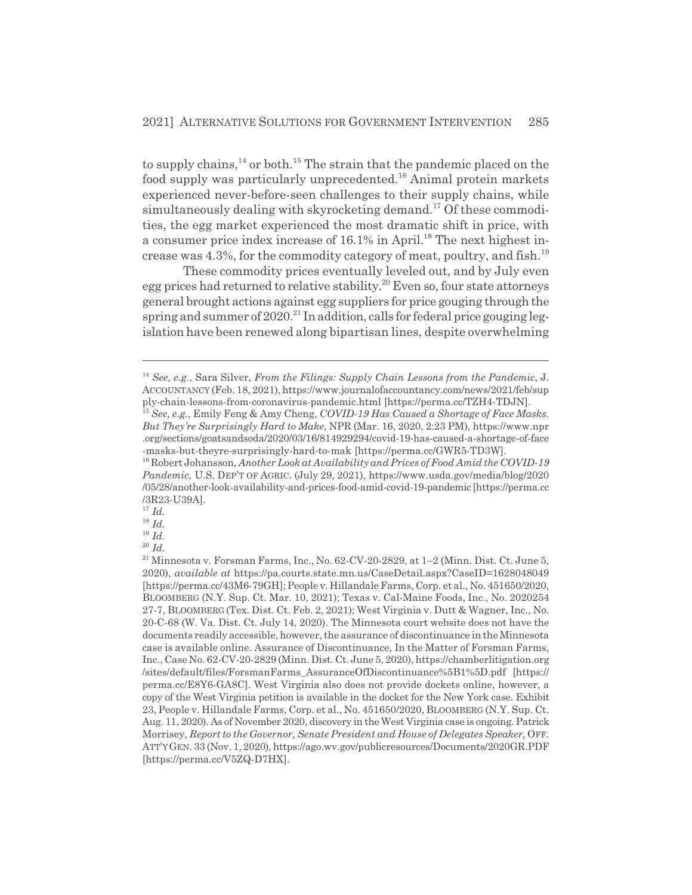to supply chains, $14$  or both.<sup>15</sup> The strain that the pandemic placed on the food supply was particularly unprecedented.16 Animal protein markets experienced never-before-seen challenges to their supply chains, while simultaneously dealing with skyrocketing demand.<sup>17</sup> Of these commodities, the egg market experienced the most dramatic shift in price, with a consumer price index increase of 16.1% in April.<sup>18</sup> The next highest increase was  $4.3\%$ , for the commodity category of meat, poultry, and fish.<sup>19</sup>

These commodity prices eventually leveled out, and by July even egg prices had returned to relative stability.<sup>20</sup> Even so, four state attorneys general brought actions against egg suppliers for price gouging through the spring and summer of  $2020$ .<sup>21</sup> In addition, calls for federal price gouging legislation have been renewed along bipartisan lines, despite overwhelming

<sup>17</sup> *Id.*

<sup>18</sup> *Id.*

<sup>19</sup> *Id.*

<sup>14</sup> *See, e.g.*, Sara Silver, *From the Filings: Supply Chain Lessons from the Pandemic*, J. ACCOUNTANCY (Feb. 18, 2021), https://www.journalofaccountancy.com/news/2021/feb/sup ply-chain-lessons-from-coronavirus-pandemic.html [https://perma.cc/TZH4-TDJN].

<sup>15</sup> *See, e.g.*, Emily Feng & Amy Cheng, *COVID-19 Has Caused a Shortage of Face Masks. But They're Surprisingly Hard to Make*, NPR (Mar. 16, 2020, 2:23 PM), https://www.npr .org/sections/goatsandsoda/2020/03/16/814929294/covid-19-has-caused-a-shortage-of-face -masks-but-theyre-surprisingly-hard-to-mak [https://perma.cc/GWR5-TD3W].

<sup>16</sup> Robert Johansson, *Another Look at Availability and Prices of Food Amid the COVID-19 Pandemic*, U.S. DEP'T OF AGRIC. (July 29, 2021), https://www.usda.gov/media/blog/2020 /05/28/another-look-availability-and-prices-food-amid-covid-19-pandemic [https://perma.cc /3R23-U39A].

<sup>20</sup> *Id.*

 $^\mathrm{21}$  Minnesota v. Forsman Farms, Inc., No. 62-CV-20-2829, at 1–2 (Minn. Dist. Ct. June 5, 2020), *available at* https://pa.courts.state.mn.us/CaseDetail.aspx?CaseID=1628048049 [https://perma.cc/43M6-79GH]; People v. Hillandale Farms, Corp. et al., No. 451650/2020, BLOOMBERG (N.Y. Sup. Ct. Mar. 10, 2021); Texas v. Cal-Maine Foods, Inc., No. 2020254 27-7, BLOOMBERG (Tex. Dist. Ct. Feb. 2, 2021); West Virginia v. Dutt & Wagner, Inc., No. 20-C-68 (W. Va. Dist. Ct. July 14, 2020). The Minnesota court website does not have the documents readily accessible, however, the assurance of discontinuance in the Minnesota case is available online. Assurance of Discontinuance, In the Matter of Forsman Farms, Inc., Case No. 62-CV-20-2829 (Minn. Dist. Ct. June 5, 2020), https://chamberlitigation.org /sites/default/files/ForsmanFarms\_AssuranceOfDiscontinuance%5B1%5D.pdf [https:// perma.cc/E8Y6-GA8C]. West Virginia also does not provide dockets online, however, a copy of the West Virginia petition is available in the docket for the New York case. Exhibit 23, People v. Hillandale Farms, Corp. et al., No. 451650/2020, BLOOMBERG (N.Y. Sup. Ct. Aug. 11, 2020). As of November 2020, discovery in the West Virginia case is ongoing. Patrick Morrisey, *Report to the Governor, Senate President and House of Delegates Speaker*, OFF. ATT'YGEN. 33 (Nov. 1, 2020), https://ago.wv.gov/publicresources/Documents/2020GR.PDF [https://perma.cc/V5ZQ-D7HX].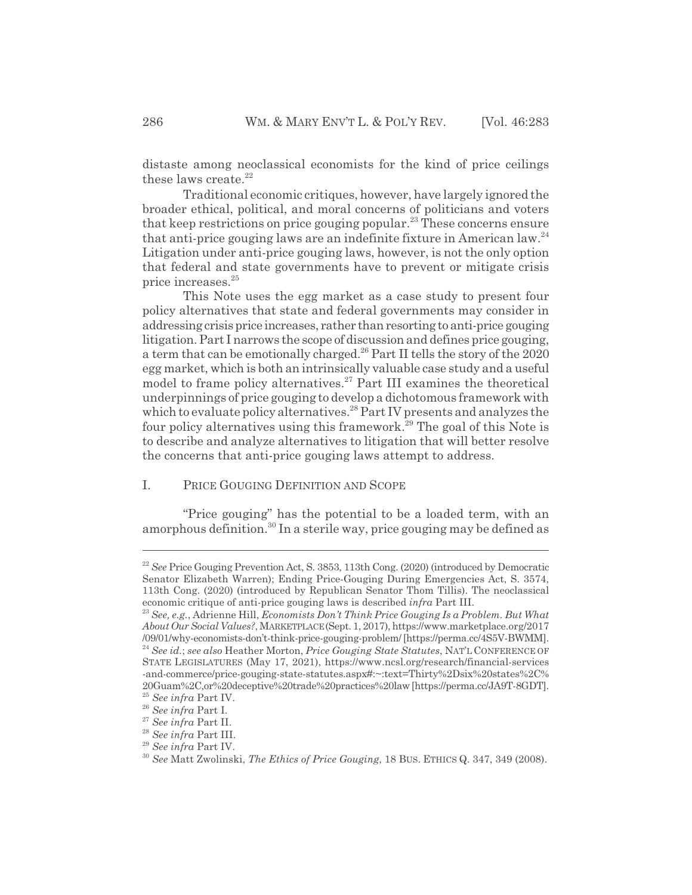distaste among neoclassical economists for the kind of price ceilings these laws create. $22$ 

Traditional economic critiques, however, have largely ignored the broader ethical, political, and moral concerns of politicians and voters that keep restrictions on price gouging popular.<sup>23</sup> These concerns ensure that anti-price gouging laws are an indefinite fixture in American law.<sup>24</sup> Litigation under anti-price gouging laws, however, is not the only option that federal and state governments have to prevent or mitigate crisis price increases.25

This Note uses the egg market as a case study to present four policy alternatives that state and federal governments may consider in addressing crisis price increases, rather than resorting to anti-price gouging litigation. Part I narrows the scope of discussion and defines price gouging, a term that can be emotionally charged.<sup>26</sup> Part II tells the story of the 2020 egg market, which is both an intrinsically valuable case study and a useful model to frame policy alternatives.<sup>27</sup> Part III examines the theoretical underpinnings of price gouging to develop a dichotomous framework with which to evaluate policy alternatives.<sup>28</sup> Part IV presents and analyzes the four policy alternatives using this framework.<sup>29</sup> The goal of this Note is to describe and analyze alternatives to litigation that will better resolve the concerns that anti-price gouging laws attempt to address.

# I. PRICE GOUGING DEFINITION AND SCOPE

"Price gouging" has the potential to be a loaded term, with an amorphous definition.<sup>30</sup> In a sterile way, price gouging may be defined as

<sup>&</sup>lt;sup>22</sup> *See* Price Gouging Prevention Act, S. 3853, 113th Cong. (2020) (introduced by Democratic Senator Elizabeth Warren); Ending Price-Gouging During Emergencies Act, S. 3574, 113th Cong. (2020) (introduced by Republican Senator Thom Tillis). The neoclassical economic critique of anti-price gouging laws is described *infra* Part III.

<sup>23</sup> *See, e.g.*, Adrienne Hill, *Economists Don't Think Price Gouging Is a Problem. But What About Our Social Values?*, MARKETPLACE (Sept. 1, 2017), https://www.marketplace.org/2017 /09/01/why-economists-don't-think-price-gouging-problem/ [https://perma.cc/4S5V-BWMM]. <sup>24</sup> *See id.*; *see also* Heather Morton, *Price Gouging State Statutes*, NAT'L CONFERENCE OF STATE LEGISLATURES (May 17, 2021), https://www.ncsl.org/research/financial-services -and-commerce/price-gouging-state-statutes.aspx#:~:text=Thirty%2Dsix%20states%2C% 20Guam%2C,or%20deceptive%20trade%20practices%20law [https://perma.cc/JA9T-8GDT]. <sup>25</sup> *See infra* Part IV.

<sup>26</sup> *See infra* Part I.

<sup>27</sup> *See infra* Part II.

<sup>28</sup> *See infra* Part III.

<sup>29</sup> *See infra* Part IV.

<sup>30</sup> *See* Matt Zwolinski, *The Ethics of Price Gouging*, 18 BUS. ETHICS Q. 347, 349 (2008).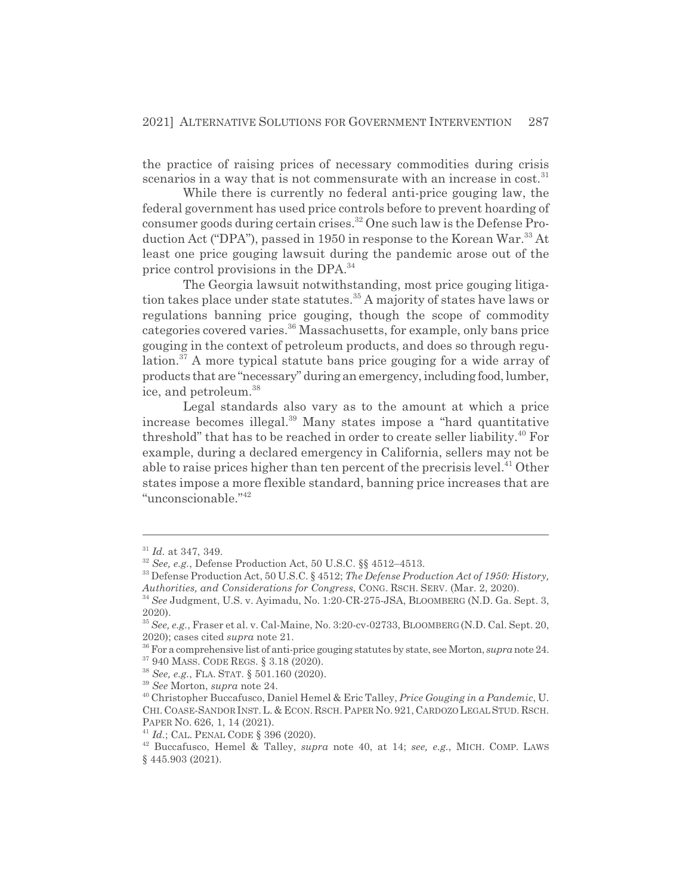the practice of raising prices of necessary commodities during crisis scenarios in a way that is not commensurate with an increase in  $cost<sup>31</sup>$ 

While there is currently no federal anti-price gouging law, the federal government has used price controls before to prevent hoarding of consumer goods during certain crises.<sup>32</sup> One such law is the Defense Production Act ("DPA"), passed in 1950 in response to the Korean War.<sup>33</sup> At least one price gouging lawsuit during the pandemic arose out of the price control provisions in the DPA.<sup>34</sup>

The Georgia lawsuit notwithstanding, most price gouging litigation takes place under state statutes.<sup>35</sup> A majority of states have laws or regulations banning price gouging, though the scope of commodity categories covered varies.<sup>36</sup> Massachusetts, for example, only bans price gouging in the context of petroleum products, and does so through regulation.<sup>37</sup> A more typical statute bans price gouging for a wide array of products that are "necessary" during an emergency, including food, lumber, ice, and petroleum.<sup>38</sup>

Legal standards also vary as to the amount at which a price increase becomes illegal.39 Many states impose a "hard quantitative threshold" that has to be reached in order to create seller liability.<sup>40</sup> For example, during a declared emergency in California, sellers may not be able to raise prices higher than ten percent of the precrisis level.<sup>41</sup> Other states impose a more flexible standard, banning price increases that are "unconscionable."42

<sup>31</sup> *Id.* at 347, 349.

<sup>32</sup> *See, e.g.*, Defense Production Act, 50 U.S.C. §§ 4512–4513.

<sup>33</sup> Defense Production Act, 50 U.S.C. § 4512; *The Defense Production Act of 1950: History, Authorities, and Considerations for Congress*, CONG. RSCH. SERV. (Mar. 2, 2020).

<sup>34</sup> *See* Judgment, U.S. v. Ayimadu, No. 1:20-CR-275-JSA, BLOOMBERG (N.D. Ga. Sept. 3, 2020).

<sup>35</sup> *See, e.g.*, Fraser et al. v. Cal-Maine, No. 3:20-cv-02733, BLOOMBERG (N.D. Cal. Sept. 20, 2020); cases cited *supra* note 21.

<sup>36</sup> For a comprehensive list of anti-price gouging statutes by state, see Morton, *supra* note 24. 37 940 MASS. CODE REGS. § 3.18 (2020).

<sup>38</sup> *See, e.g.*, FLA. STAT. § 501.160 (2020).

<sup>39</sup> *See* Morton, *supra* note 24.

<sup>40</sup> Christopher Buccafusco, Daniel Hemel & Eric Talley, *Price Gouging in a Pandemic*, U. CHI. COASE-SANDOR INST. L. & ECON. RSCH. PAPER NO. 921, CARDOZO LEGAL STUD. RSCH. PAPER NO. 626, 1, 14 (2021).

<sup>41</sup> *Id.*; CAL. PENAL CODE § 396 (2020).

<sup>42</sup> Buccafusco, Hemel & Talley, *supra* note 40, at 14; *see, e.g.*, MICH. COMP. LAWS § 445.903 (2021).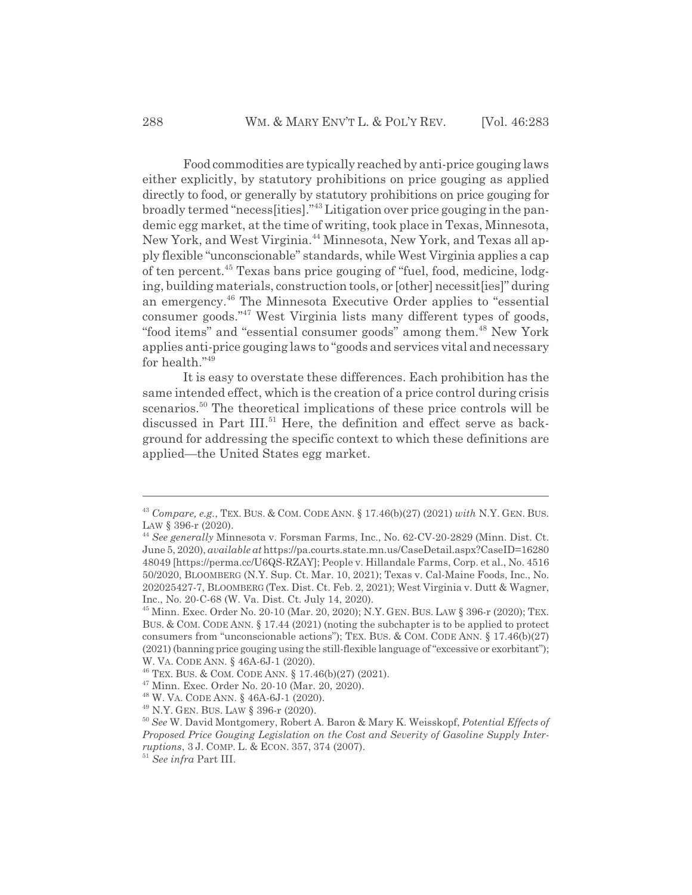Food commodities are typically reached by anti-price gouging laws either explicitly, by statutory prohibitions on price gouging as applied directly to food, or generally by statutory prohibitions on price gouging for broadly termed "necess[ities]."43 Litigation over price gouging in the pandemic egg market, at the time of writing, took place in Texas, Minnesota, New York, and West Virginia.<sup>44</sup> Minnesota, New York, and Texas all apply flexible "unconscionable" standards, while West Virginia applies a cap of ten percent.45 Texas bans price gouging of "fuel, food, medicine, lodging, building materials, construction tools, or [other] necessit[ies]" during an emergency.<sup>46</sup> The Minnesota Executive Order applies to "essential" consumer goods."47 West Virginia lists many different types of goods, "food items" and "essential consumer goods" among them.<sup>48</sup> New York applies anti-price gouging laws to "goods and services vital and necessary for health."49

It is easy to overstate these differences. Each prohibition has the same intended effect, which is the creation of a price control during crisis scenarios.<sup>50</sup> The theoretical implications of these price controls will be discussed in Part III.<sup>51</sup> Here, the definition and effect serve as background for addressing the specific context to which these definitions are applied—the United States egg market.

<sup>43</sup> *Compare, e.g.*, TEX. BUS.&COM. CODE ANN. § 17.46(b)(27) (2021) *with* N.Y. GEN. BUS. LAW § 396-r (2020).

<sup>44</sup> *See generally* Minnesota v. Forsman Farms, Inc., No. 62-CV-20-2829 (Minn. Dist. Ct. June 5, 2020), *available at* https://pa.courts.state.mn.us/CaseDetail.aspx?CaseID=16280 48049 [https://perma.cc/U6QS-RZAY]; People v. Hillandale Farms, Corp. et al., No. 4516 50/2020, BLOOMBERG (N.Y. Sup. Ct. Mar. 10, 2021); Texas v. Cal-Maine Foods, Inc., No. 202025427-7, BLOOMBERG (Tex. Dist. Ct. Feb. 2, 2021); West Virginia v. Dutt & Wagner, Inc., No. 20-C-68 (W. Va. Dist. Ct. July 14, 2020).

<sup>45</sup> Minn. Exec. Order No. 20-10 (Mar. 20, 2020); N.Y. GEN. BUS. LAW § 396-r (2020); TEX. BUS.&COM. CODE ANN. § 17.44 (2021) (noting the subchapter is to be applied to protect consumers from "unconscionable actions"); TEX. BUS.&COM. CODE ANN. § 17.46(b)(27) (2021) (banning price gouging using the still-flexible language of "excessive or exorbitant"); W. VA. CODE ANN. § 46A-6J-1 (2020).

<sup>46</sup> TEX. BUS.&COM. CODE ANN. § 17.46(b)(27) (2021).

<sup>47</sup> Minn. Exec. Order No. 20-10 (Mar. 20, 2020).

<sup>48</sup> W. VA. CODE ANN. § 46A-6J-1 (2020).

<sup>49</sup> N.Y. GEN. BUS. LAW § 396-r (2020).

<sup>50</sup> *See* W. David Montgomery, Robert A. Baron & Mary K. Weisskopf, *Potential Effects of Proposed Price Gouging Legislation on the Cost and Severity of Gasoline Supply Interruptions*, 3 J. COMP. L. & ECON. 357, 374 (2007).

<sup>51</sup> *See infra* Part III.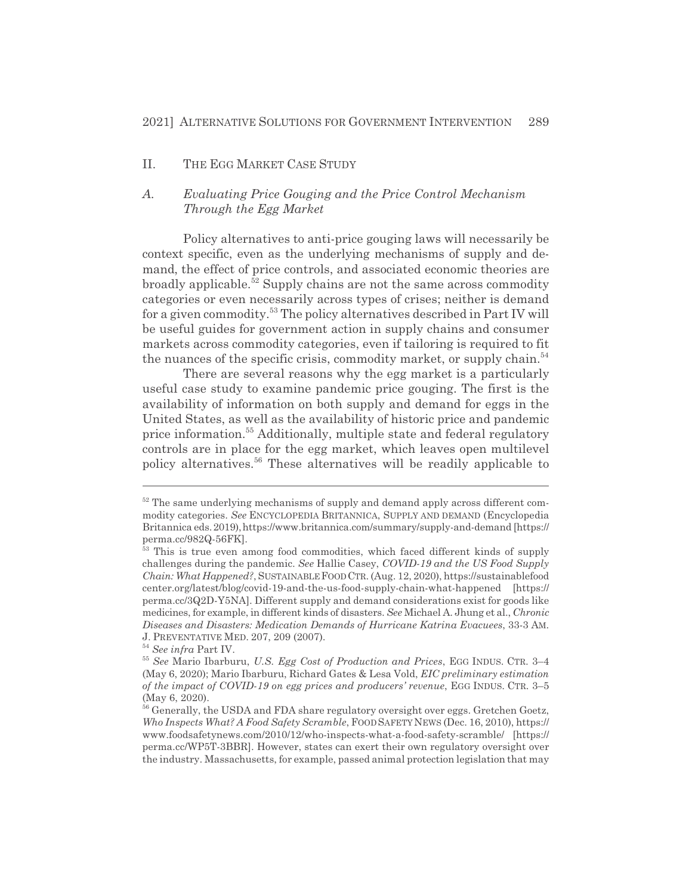## II. THE EGG MARKET CASE STUDY

# *A. Evaluating Price Gouging and the Price Control Mechanism Through the Egg Market*

Policy alternatives to anti-price gouging laws will necessarily be context specific, even as the underlying mechanisms of supply and demand, the effect of price controls, and associated economic theories are broadly applicable.52 Supply chains are not the same across commodity categories or even necessarily across types of crises; neither is demand for a given commodity.<sup>53</sup> The policy alternatives described in Part IV will be useful guides for government action in supply chains and consumer markets across commodity categories, even if tailoring is required to fit the nuances of the specific crisis, commodity market, or supply chain.<sup>54</sup>

There are several reasons why the egg market is a particularly useful case study to examine pandemic price gouging. The first is the availability of information on both supply and demand for eggs in the United States, as well as the availability of historic price and pandemic price information.55 Additionally, multiple state and federal regulatory controls are in place for the egg market, which leaves open multilevel policy alternatives.56 These alternatives will be readily applicable to

 $52$  The same underlying mechanisms of supply and demand apply across different commodity categories. *See* ENCYCLOPEDIA BRITANNICA, SUPPLY AND DEMAND (Encyclopedia Britannica eds. 2019), https://www.britannica.com/summary/supply-and-demand [https:// perma.cc/982Q-56FK].

<sup>&</sup>lt;sup>53</sup> This is true even among food commodities, which faced different kinds of supply challenges during the pandemic. *See* Hallie Casey, *COVID-19 and the US Food Supply Chain: What Happened?*, SUSTAINABLEFOODCTR. (Aug. 12, 2020), https://sustainablefood center.org/latest/blog/covid-19-and-the-us-food-supply-chain-what-happened [https:// perma.cc/3Q2D-Y5NA]. Different supply and demand considerations exist for goods like medicines, for example, in different kinds of disasters. *See* Michael A. Jhung et al., *Chronic Diseases and Disasters: Medication Demands of Hurricane Katrina Evacuees*, 33-3 AM. J. PREVENTATIVE MED. 207, 209 (2007).

<sup>54</sup> *See infra* Part IV.

<sup>55</sup> *See* Mario Ibarburu, *U.S. Egg Cost of Production and Prices*, EGG INDUS. CTR. 3–4 (May 6, 2020); Mario Ibarburu, Richard Gates & Lesa Vold, *EIC preliminary estimation of the impact of COVID-19 on egg prices and producers' revenue*, EGG INDUS. CTR. 3–5 (May 6, 2020).

<sup>&</sup>lt;sup>56</sup> Generally, the USDA and FDA share regulatory oversight over eggs. Gretchen Goetz, *Who Inspects What? A Food Safety Scramble*, FOODSAFETY NEWS (Dec. 16, 2010), https:// www.foodsafetynews.com/2010/12/who-inspects-what-a-food-safety-scramble/ [https:// perma.cc/WP5T-3BBR]. However, states can exert their own regulatory oversight over the industry. Massachusetts, for example, passed animal protection legislation that may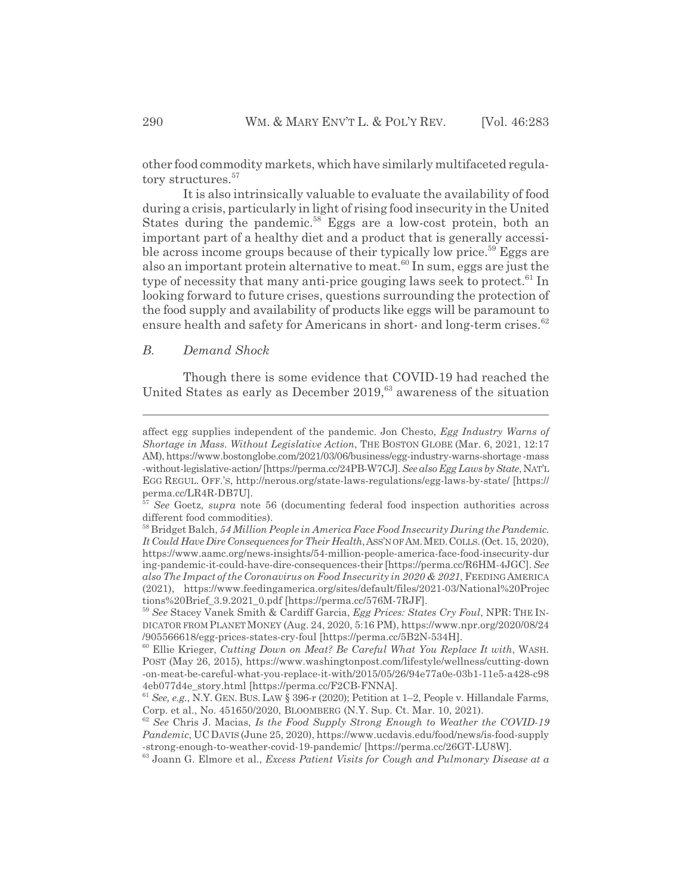other food commodity markets, which have similarly multifaceted regulatory structures.<sup>57</sup>

It is also intrinsically valuable to evaluate the availability of food during a crisis, particularly in light of rising food insecurity in the United States during the pandemic.<sup>58</sup> Eggs are a low-cost protein, both an important part of a healthy diet and a product that is generally accessible across income groups because of their typically low price.<sup>59</sup> Eggs are also an important protein alternative to meat.<sup>60</sup> In sum, eggs are just the type of necessity that many anti-price gouging laws seek to protect. $61$  In looking forward to future crises, questions surrounding the protection of the food supply and availability of products like eggs will be paramount to ensure health and safety for Americans in short- and long-term crises.<sup>62</sup>

# *B. Demand Shock*

Though there is some evidence that COVID-19 had reached the United States as early as December 2019,<sup>63</sup> awareness of the situation

affect egg supplies independent of the pandemic. Jon Chesto, *Egg Industry Warns of Shortage in Mass. Without Legislative Action*, THE BOSTON GLOBE (Mar. 6, 2021, 12:17 AM), https://www.bostonglobe.com/2021/03/06/business/egg-industry-warns-shortage -mass -without-legislative-action/ [https://perma.cc/24PB-W7CJ]. *See also Egg Laws by State*, NAT'L EGG REGUL. OFF.'S, http://nerous.org/state-laws-regulations/egg-laws-by-state/ [https:// perma.cc/LR4R-DB7U].

<sup>57</sup> *See* Goetz, *supra* note 56 (documenting federal food inspection authorities across different food commodities).

<sup>58</sup> Bridget Balch, *54 Million People in America Face Food Insecurity During the Pandemic. It Could Have Dire Consequences for Their Health*,ASS'N OF AM.MED.COLLS.(Oct. 15, 2020), https://www.aamc.org/news-insights/54-million-people-america-face-food-insecurity-dur ing-pandemic-it-could-have-dire-consequences-their [https://perma.cc/R6HM-4JGC]. *See also The Impact of the Coronavirus on Food Insecurity in 2020 & 2021*, FEEDING AMERICA (2021), https://www.feedingamerica.org/sites/default/files/2021-03/National%20Projec tions%20Brief\_3.9.2021\_0.pdf [https://perma.cc/576M-7RJF].

<sup>59</sup> *See* Stacey Vanek Smith & Cardiff Garcia, *Egg Prices: States Cry Foul*, NPR: THE IN-DICATOR FROM PLANETMONEY (Aug. 24, 2020, 5:16 PM), https://www.npr.org/2020/08/24 /905566618/egg-prices-states-cry-foul [https://perma.cc/5B2N-534H].

<sup>60</sup> Ellie Krieger, *Cutting Down on Meat? Be Careful What You Replace It with*, WASH. POST (May 26, 2015), https://www.washingtonpost.com/lifestyle/wellness/cutting-down -on-meat-be-careful-what-you-replace-it-with/2015/05/26/94e77a0e-03b1-11e5-a428-c98 4eb077d4e\_story.html [https://perma.cc/F2CB-FNNA].

<sup>61</sup> *See, e.g.*, N.Y. GEN. BUS. LAW § 396-r (2020); Petition at 1–2, People v. Hillandale Farms, Corp. et al., No. 451650/2020, BLOOMBERG (N.Y. Sup. Ct. Mar. 10, 2021).

<sup>62</sup> *See* Chris J. Macias, *Is the Food Supply Strong Enough to Weather the COVID-19 Pandemic*, UC DAVIS (June 25, 2020), https://www.ucdavis.edu/food/news/is-food-supply -strong-enough-to-weather-covid-19-pandemic/ [https://perma.cc/26GT-LU8W].

<sup>63</sup> Joann G. Elmore et al., *Excess Patient Visits for Cough and Pulmonary Disease at a*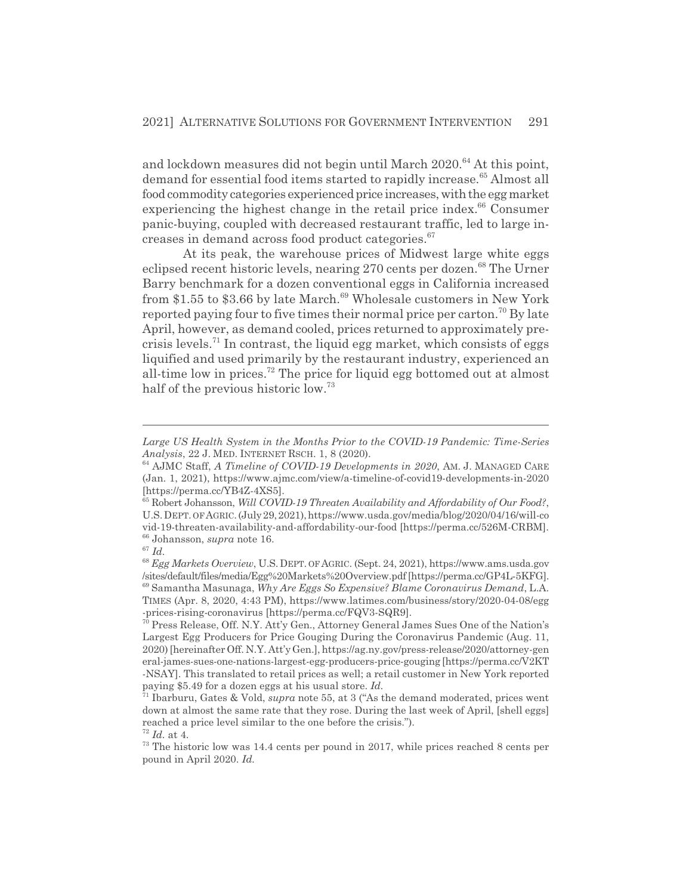and lockdown measures did not begin until March 2020.<sup>64</sup> At this point, demand for essential food items started to rapidly increase.<sup>65</sup> Almost all food commodity categories experienced price increases, with the egg market experiencing the highest change in the retail price index.<sup>66</sup> Consumer panic-buying, coupled with decreased restaurant traffic, led to large increases in demand across food product categories.<sup>67</sup>

At its peak, the warehouse prices of Midwest large white eggs eclipsed recent historic levels, nearing 270 cents per dozen.<sup>68</sup> The Urner Barry benchmark for a dozen conventional eggs in California increased from \$1.55 to \$3.66 by late March.<sup>69</sup> Wholesale customers in New York reported paying four to five times their normal price per carton.<sup>70</sup> By late April, however, as demand cooled, prices returned to approximately precrisis levels.<sup>71</sup> In contrast, the liquid egg market, which consists of eggs liquified and used primarily by the restaurant industry, experienced an all-time low in prices.72 The price for liquid egg bottomed out at almost half of the previous historic low.<sup>73</sup>

*Large US Health System in the Months Prior to the COVID-19 Pandemic: Time-Series Analysis*, 22 J. MED. INTERNET RSCH. 1, 8 (2020).

<sup>64</sup> AJMC Staff, *A Timeline of COVID-19 Developments in 2020*, AM. J. MANAGED CARE (Jan. 1, 2021), https://www.ajmc.com/view/a-timeline-of-covid19-developments-in-2020 [https://perma.cc/YB4Z-4XS5].

<sup>65</sup> Robert Johansson, *Will COVID-19 Threaten Availability and Affordability of Our Food?*, U.S. DEPT. OF AGRIC. (July 29, 2021), https://www.usda.gov/media/blog/2020/04/16/will-co vid-19-threaten-availability-and-affordability-our-food [https://perma.cc/526M-CRBM]. 66 Johansson, *supra* note 16.

<sup>67</sup> *Id.*

<sup>68</sup> *Egg Markets Overview*, U.S. DEPT. OF AGRIC. (Sept. 24, 2021), https://www.ams.usda.gov /sites/default/files/media/Egg%20Markets%20Overview.pdf [https://perma.cc/GP4L-5KFG].

<sup>69</sup> Samantha Masunaga, *Why Are Eggs So Expensive? Blame Coronavirus Demand*, L.A. TIMES (Apr. 8, 2020, 4:43 PM), https://www.latimes.com/business/story/2020-04-08/egg -prices-rising-coronavirus [https://perma.cc/FQV3-SQR9].

 $70$  Press Release, Off. N.Y. Att'y Gen., Attorney General James Sues One of the Nation's Largest Egg Producers for Price Gouging During the Coronavirus Pandemic (Aug. 11, 2020) [hereinafter Off. N.Y. Att'y Gen.], https://ag.ny.gov/press-release/2020/attorney-gen eral-james-sues-one-nations-largest-egg-producers-price-gouging [https://perma.cc/V2KT -NSAY]. This translated to retail prices as well; a retail customer in New York reported paying \$5.49 for a dozen eggs at his usual store. *Id.*

<sup>71</sup> Ibarburu, Gates & Vold, *supra* note 55, at 3 ("As the demand moderated, prices went down at almost the same rate that they rose. During the last week of April, [shell eggs] reached a price level similar to the one before the crisis."). <sup>72</sup> *Id.* at 4.

 $73$  The historic low was 14.4 cents per pound in 2017, while prices reached 8 cents per pound in April 2020. *Id.*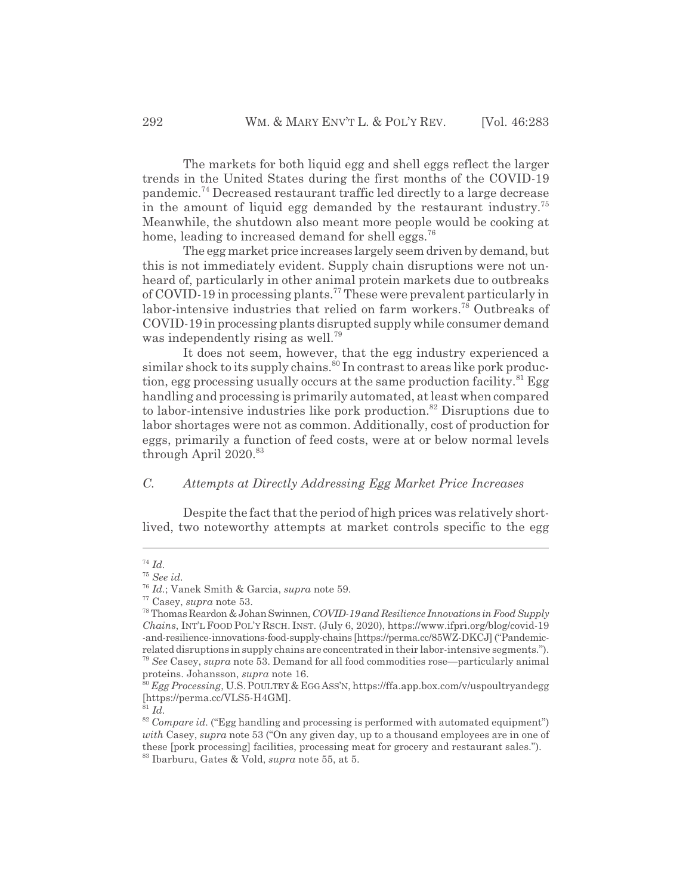The markets for both liquid egg and shell eggs reflect the larger trends in the United States during the first months of the COVID-19 pandemic.74 Decreased restaurant traffic led directly to a large decrease in the amount of liquid egg demanded by the restaurant industry.<sup>75</sup> Meanwhile, the shutdown also meant more people would be cooking at home, leading to increased demand for shell eggs.<sup>76</sup>

The egg market price increases largely seem driven by demand, but this is not immediately evident. Supply chain disruptions were not unheard of, particularly in other animal protein markets due to outbreaks of COVID-19 in processing plants.77 These were prevalent particularly in labor-intensive industries that relied on farm workers.<sup>78</sup> Outbreaks of COVID-19 in processing plants disrupted supply while consumer demand was independently rising as well.<sup>79</sup>

It does not seem, however, that the egg industry experienced a similar shock to its supply chains.<sup>80</sup> In contrast to areas like pork production, egg processing usually occurs at the same production facility.<sup>81</sup> Egg handling and processing is primarily automated, at least when compared to labor-intensive industries like pork production.<sup>82</sup> Disruptions due to labor shortages were not as common. Additionally, cost of production for eggs, primarily a function of feed costs, were at or below normal levels through April  $2020.^{83}$ 

# *C. Attempts at Directly Addressing Egg Market Price Increases*

Despite the fact that the period of high prices was relatively shortlived, two noteworthy attempts at market controls specific to the egg

<sup>74</sup> *Id.*

<sup>75</sup> *See id.*

<sup>76</sup> *Id.*; Vanek Smith & Garcia, *supra* note 59.

<sup>77</sup> Casey, *supra* note 53.

<sup>78</sup> Thomas Reardon & Johan Swinnen, *COVID-19 and Resilience Innovations in Food Supply Chains*, INT'L FOOD POL'Y RSCH. INST. (July 6, 2020), https://www.ifpri.org/blog/covid-19 -and-resilience-innovations-food-supply-chains [https://perma.cc/85WZ-DKCJ] ("Pandemicrelated disruptions in supply chains are concentrated in their labor-intensive segments."). <sup>79</sup> *See* Casey, *supra* note 53. Demand for all food commodities rose—particularly animal

proteins. Johansson, *supra* note 16. <sup>80</sup> *Egg Processing*, U.S.POULTRY&EGGASS'N, https://ffa.app.box.com/v/uspoultryandegg

<sup>[</sup>https://perma.cc/VLS5-H4GM].

<sup>81</sup> *Id.*

<sup>&</sup>lt;sup>82</sup> *Compare id.* ("Egg handling and processing is performed with automated equipment") *with* Casey, *supra* note 53 ("On any given day, up to a thousand employees are in one of these [pork processing] facilities, processing meat for grocery and restaurant sales."). 83 Ibarburu, Gates & Vold, *supra* note 55, at 5.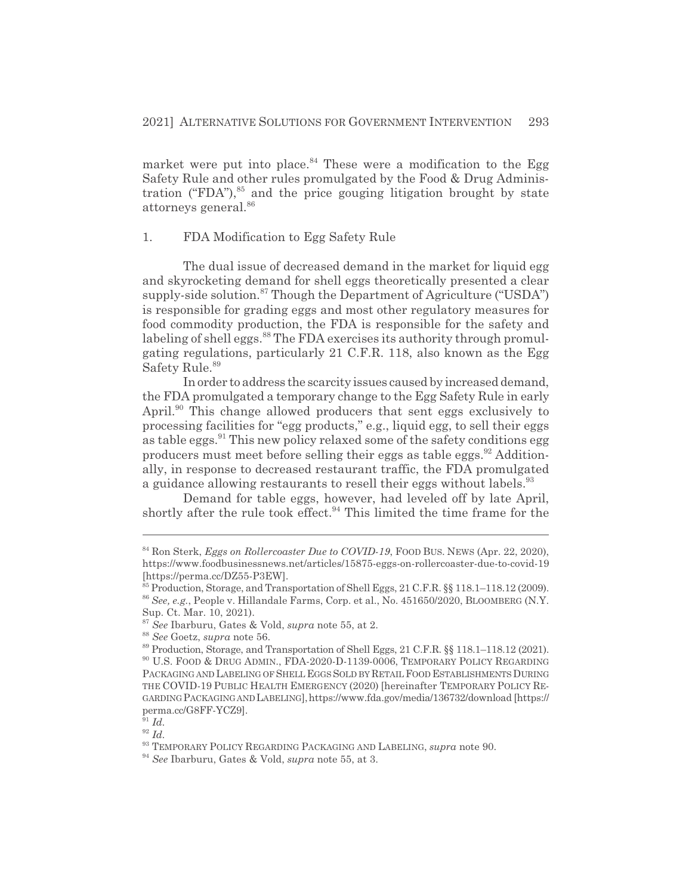market were put into place.<sup>84</sup> These were a modification to the Egg Safety Rule and other rules promulgated by the Food & Drug Administration ("FDA"), $85$  and the price gouging litigation brought by state attorneys general.<sup>86</sup>

# 1. FDA Modification to Egg Safety Rule

The dual issue of decreased demand in the market for liquid egg and skyrocketing demand for shell eggs theoretically presented a clear supply-side solution.<sup>87</sup> Though the Department of Agriculture ("USDA") is responsible for grading eggs and most other regulatory measures for food commodity production, the FDA is responsible for the safety and labeling of shell eggs.<sup>88</sup> The FDA exercises its authority through promulgating regulations, particularly 21 C.F.R. 118, also known as the Egg Safety Rule.<sup>89</sup>

In order to address the scarcity issues caused by increased demand, the FDA promulgated a temporary change to the Egg Safety Rule in early April.<sup>90</sup> This change allowed producers that sent eggs exclusively to processing facilities for "egg products," e.g., liquid egg, to sell their eggs as table eggs.<sup>91</sup> This new policy relaxed some of the safety conditions egg producers must meet before selling their eggs as table eggs.<sup>92</sup> Additionally, in response to decreased restaurant traffic, the FDA promulgated a guidance allowing restaurants to resell their eggs without labels.<sup>93</sup>

Demand for table eggs, however, had leveled off by late April, shortly after the rule took effect.<sup>94</sup> This limited the time frame for the

<sup>&</sup>lt;sup>84</sup> Ron Sterk, *Eggs on Rollercoaster Due to COVID-19*, FOOD BUS. NEWS (Apr. 22, 2020), https://www.foodbusinessnews.net/articles/15875-eggs-on-rollercoaster-due-to-covid-19 [https://perma.cc/DZ55-P3EW].

 $\frac{85}{10}$  Production, Storage, and Transportation of Shell Eggs, 21 C.F.R. §§ 118.1–118.12 (2009). <sup>86</sup> *See, e.g.*, People v. Hillandale Farms, Corp. et al., No. 451650/2020, BLOOMBERG (N.Y. Sup. Ct. Mar. 10, 2021).

<sup>87</sup> *See* Ibarburu, Gates & Vold, *supra* note 55, at 2.

<sup>88</sup> *See* Goetz, *supra* note 56.

<sup>89</sup> Production, Storage, and Transportation of Shell Eggs, 21 C.F.R. §§ 118.1–118.12 (2021).

<sup>90</sup> U.S. FOOD & DRUG ADMIN., FDA-2020-D-1139-0006, TEMPORARY POLICY REGARDING PACKAGING AND LABELING OF SHELL EGGS SOLD BY RETAIL FOOD ESTABLISHMENTS DURING THE COVID-19 PUBLIC HEALTH EMERGENCY (2020) [hereinafter TEMPORARY POLICY RE-GARDINGPACKAGING AND LABELING],https://www.fda.gov/media/136732/download [https:// perma.cc/G8FF-YCZ9].

 $\int_{0}^{\frac{r}{9}}1}$  *Id.* 

<sup>92</sup> *Id.*

<sup>93</sup> TEMPORARY POLICY REGARDING PACKAGING AND LABELING, *supra* note 90.

<sup>94</sup> *See* Ibarburu, Gates & Vold, *supra* note 55, at 3.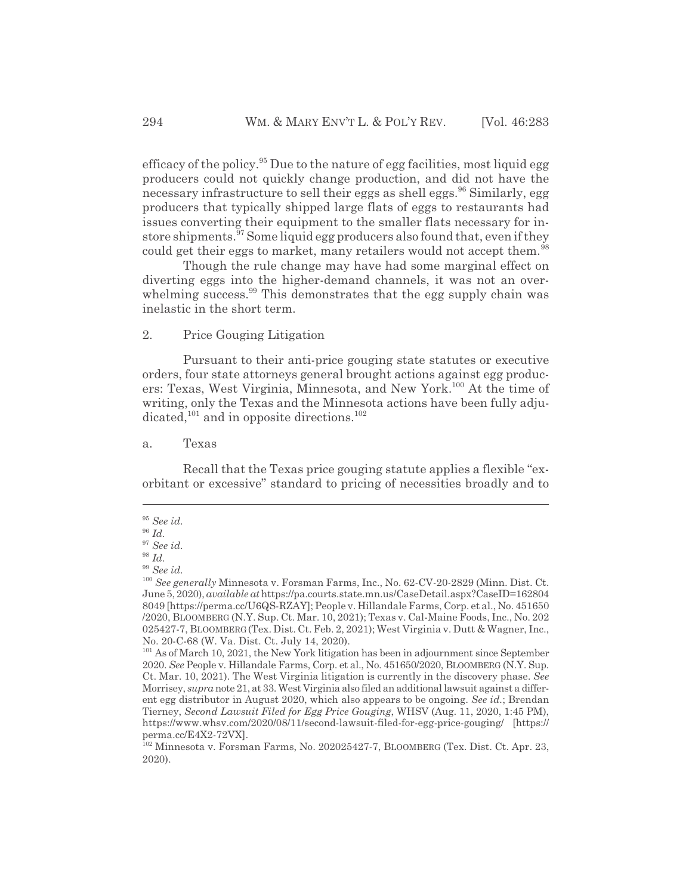efficacy of the policy.<sup>95</sup> Due to the nature of egg facilities, most liquid egg producers could not quickly change production, and did not have the necessary infrastructure to sell their eggs as shell eggs.<sup>96</sup> Similarly, egg producers that typically shipped large flats of eggs to restaurants had issues converting their equipment to the smaller flats necessary for instore shipments.<sup>97</sup> Some liquid egg producers also found that, even if they could get their eggs to market, many retailers would not accept them.<sup>98</sup>

Though the rule change may have had some marginal effect on diverting eggs into the higher-demand channels, it was not an overwhelming success.<sup>99</sup> This demonstrates that the egg supply chain was inelastic in the short term.

# 2. Price Gouging Litigation

Pursuant to their anti-price gouging state statutes or executive orders, four state attorneys general brought actions against egg producers: Texas, West Virginia, Minnesota, and New York.100 At the time of writing, only the Texas and the Minnesota actions have been fully adjudicated,<sup>101</sup> and in opposite directions.<sup>102</sup>

a. Texas

Recall that the Texas price gouging statute applies a flexible "exorbitant or excessive" standard to pricing of necessities broadly and to

<sup>95</sup> *See id.*

<sup>96</sup> *Id.*

<sup>97</sup> *See id.*

<sup>98</sup> *Id.*

<sup>99</sup> *See id.*

<sup>100</sup> *See generally* Minnesota v. Forsman Farms, Inc., No. 62-CV-20-2829 (Minn. Dist. Ct. June 5, 2020), *available at* https://pa.courts.state.mn.us/CaseDetail.aspx?CaseID=162804 8049 [https://perma.cc/U6QS-RZAY]; People v. Hillandale Farms, Corp. et al., No. 451650 /2020, BLOOMBERG (N.Y. Sup. Ct. Mar. 10, 2021); Texas v. Cal-Maine Foods, Inc., No. 202 025427-7, BLOOMBERG(Tex. Dist. Ct. Feb. 2, 2021); West Virginia v. Dutt & Wagner, Inc., No. 20-C-68 (W. Va. Dist. Ct. July 14, 2020).

<sup>&</sup>lt;sup>101</sup> As of March 10, 2021, the New York litigation has been in adjournment since September 2020. *See* People v. Hillandale Farms, Corp. et al., No. 451650/2020, BLOOMBERG (N.Y. Sup. Ct. Mar. 10, 2021). The West Virginia litigation is currently in the discovery phase. *See* Morrisey, *supra* note 21, at 33. West Virginia also filed an additional lawsuit against a different egg distributor in August 2020, which also appears to be ongoing. *See id.*; Brendan Tierney, *Second Lawsuit Filed for Egg Price Gouging*, WHSV (Aug. 11, 2020, 1:45 PM), https://www.whsv.com/2020/08/11/second-lawsuit-filed-for-egg-price-gouging/ [https:// perma.cc/E4X2-72VX].

<sup>102</sup> Minnesota v. Forsman Farms, No. 202025427-7, BLOOMBERG (Tex. Dist. Ct. Apr. 23, 2020).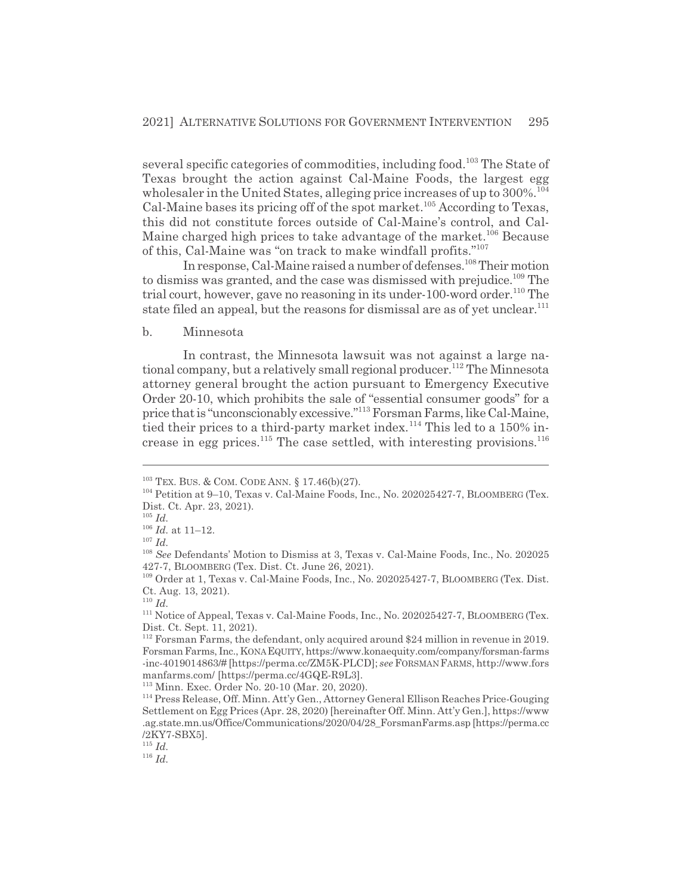several specific categories of commodities, including food.<sup>103</sup> The State of Texas brought the action against Cal-Maine Foods, the largest egg wholesaler in the United States, alleging price increases of up to  $300\%$ <sup>1</sup> Cal-Maine bases its pricing off of the spot market.<sup>105</sup> According to Texas, this did not constitute forces outside of Cal-Maine's control, and Cal-Maine charged high prices to take advantage of the market.<sup>106</sup> Because of this, Cal-Maine was "on track to make windfall profits."107

In response, Cal-Maine raised a number of defenses.<sup>108</sup> Their motion to dismiss was granted, and the case was dismissed with prejudice.<sup>109</sup> The trial court, however, gave no reasoning in its under-100-word order.<sup>110</sup> The state filed an appeal, but the reasons for dismissal are as of yet unclear.<sup>111</sup>

#### b. Minnesota

In contrast, the Minnesota lawsuit was not against a large national company, but a relatively small regional producer.<sup>112</sup> The Minnesota attorney general brought the action pursuant to Emergency Executive Order 20-10, which prohibits the sale of "essential consumer goods" for a price that is "unconscionably excessive."113 Forsman Farms, like Cal-Maine, tied their prices to a third-party market index.<sup>114</sup> This led to a 150% increase in egg prices.<sup>115</sup> The case settled, with interesting provisions.<sup>116</sup>

113 Minn. Exec. Order No. 20-10 (Mar. 20, 2020).

<sup>115</sup> *Id.*

<sup>&</sup>lt;sup>103</sup> TEX. BUS. & COM. CODE ANN. § 17.46(b)(27).

<sup>&</sup>lt;sup>104</sup> Petition at 9–10, Texas v. Cal-Maine Foods, Inc., No. 202025427-7, BLOOMBERG (Tex. Dist. Ct. Apr. 23, 2021).

<sup>105</sup> *Id.*

 $^{106}$   $\emph{Id.}$  at 11–12.

<sup>107</sup> *Id.*

<sup>108</sup> *See* Defendants' Motion to Dismiss at 3, Texas v. Cal-Maine Foods, Inc., No. 202025 427-7, BLOOMBERG (Tex. Dist. Ct. June 26, 2021).

<sup>109</sup> Order at 1, Texas v. Cal-Maine Foods, Inc., No. 202025427-7, BLOOMBERG (Tex. Dist. Ct. Aug. 13, 2021).

<sup>110</sup> *Id.*

<sup>&</sup>lt;sup>111</sup> Notice of Appeal, Texas v. Cal-Maine Foods, Inc., No. 202025427-7, BLOOMBERG (Tex. Dist. Ct. Sept. 11, 2021).

<sup>112</sup> Forsman Farms, the defendant, only acquired around \$24 million in revenue in 2019. Forsman Farms, Inc., KONAEQUITY, https://www.konaequity.com/company/forsman-farms -inc-4019014863/# [https://perma.cc/ZM5K-PLCD]; *see* FORSMAN FARMS, http://www.fors manfarms.com/ [https://perma.cc/4GQE-R9L3].

<sup>114</sup> Press Release, Off. Minn. Att'y Gen., Attorney General Ellison Reaches Price-Gouging Settlement on Egg Prices (Apr. 28, 2020) [hereinafter Off. Minn. Att'y Gen.], https://www .ag.state.mn.us/Office/Communications/2020/04/28\_ForsmanFarms.asp [https://perma.cc /2KY7-SBX5].

<sup>116</sup> *Id.*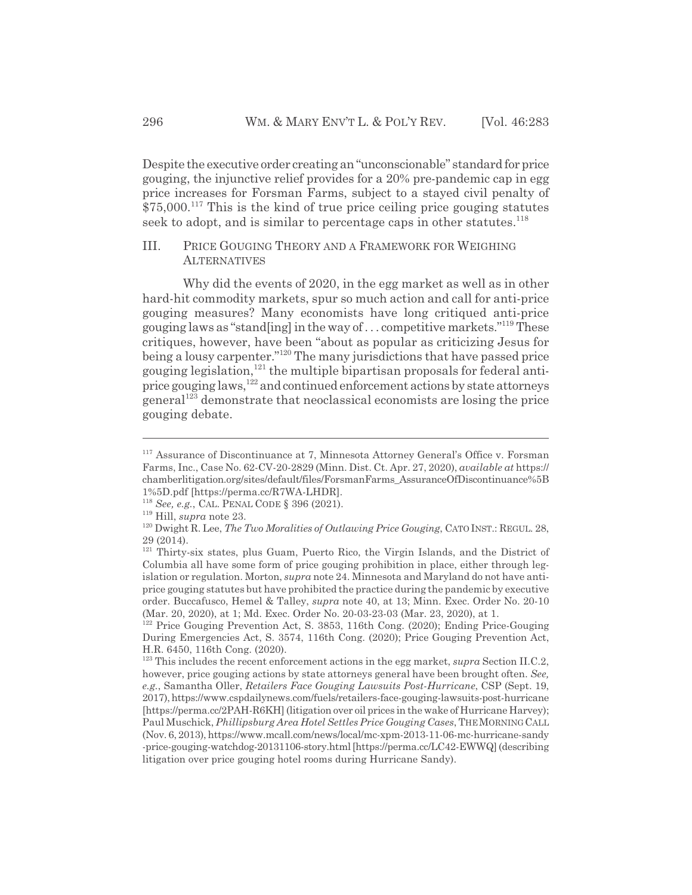Despite the executive order creating an "unconscionable" standard for price gouging, the injunctive relief provides for a 20% pre-pandemic cap in egg price increases for Forsman Farms, subject to a stayed civil penalty of  $$75,000.<sup>117</sup>$  This is the kind of true price ceiling price gouging statutes seek to adopt, and is similar to percentage caps in other statutes.<sup>118</sup>

# III. PRICE GOUGING THEORY AND A FRAMEWORK FOR WEIGHING **ALTERNATIVES**

Why did the events of 2020, in the egg market as well as in other hard-hit commodity markets, spur so much action and call for anti-price gouging measures? Many economists have long critiqued anti-price gouging laws as "stand[ing] in the way of  $\dots$  competitive markets."<sup>119</sup> These critiques, however, have been "about as popular as criticizing Jesus for being a lousy carpenter."<sup>120</sup> The many jurisdictions that have passed price gouging legislation,<sup>121</sup> the multiple bipartisan proposals for federal antiprice gouging laws,<sup>122</sup> and continued enforcement actions by state attorneys general123 demonstrate that neoclassical economists are losing the price gouging debate.

<sup>117</sup> Assurance of Discontinuance at 7, Minnesota Attorney General's Office v. Forsman Farms, Inc., Case No. 62-CV-20-2829 (Minn. Dist. Ct. Apr. 27, 2020), *available at* https:// chamberlitigation.org/sites/default/files/ForsmanFarms\_AssuranceOfDiscontinuance%5B 1%5D.pdf [https://perma.cc/R7WA-LHDR].

<sup>118</sup> *See, e.g.*, CAL. PENAL CODE § 396 (2021).

<sup>119</sup> Hill, *supra* note 23.

<sup>&</sup>lt;sup>120</sup> Dwight R. Lee, *The Two Moralities of Outlawing Price Gouging*, CATO INST.: REGUL. 28, 29 (2014).

<sup>&</sup>lt;sup>121</sup> Thirty-six states, plus Guam, Puerto Rico, the Virgin Islands, and the District of Columbia all have some form of price gouging prohibition in place, either through legislation or regulation. Morton, *supra* note 24. Minnesota and Maryland do not have antiprice gouging statutes but have prohibited the practice during the pandemic by executive order. Buccafusco, Hemel & Talley, *supra* note 40, at 13; Minn. Exec. Order No. 20-10 (Mar. 20, 2020), at 1; Md. Exec. Order No. 20-03-23-03 (Mar. 23, 2020), at 1.

<sup>&</sup>lt;sup>122</sup> Price Gouging Prevention Act, S. 3853, 116th Cong. (2020); Ending Price-Gouging During Emergencies Act, S. 3574, 116th Cong. (2020); Price Gouging Prevention Act, H.R. 6450, 116th Cong. (2020).

<sup>123</sup> This includes the recent enforcement actions in the egg market, *supra* Section II.C.2, however, price gouging actions by state attorneys general have been brought often. *See, e.g.*, Samantha Oller, *Retailers Face Gouging Lawsuits Post-Hurricane*, CSP (Sept. 19, 2017), https://www.cspdailynews.com/fuels/retailers-face-gouging-lawsuits-post-hurricane [https://perma.cc/2PAH-R6KH] (litigation over oil prices in the wake of Hurricane Harvey); Paul Muschick, *Phillipsburg Area Hotel Settles Price Gouging Cases*, THEMORNINGCALL (Nov. 6, 2013), https://www.mcall.com/news/local/mc-xpm-2013-11-06-mc-hurricane-sandy -price-gouging-watchdog-20131106-story.html [https://perma.cc/LC42-EWWQ] (describing litigation over price gouging hotel rooms during Hurricane Sandy).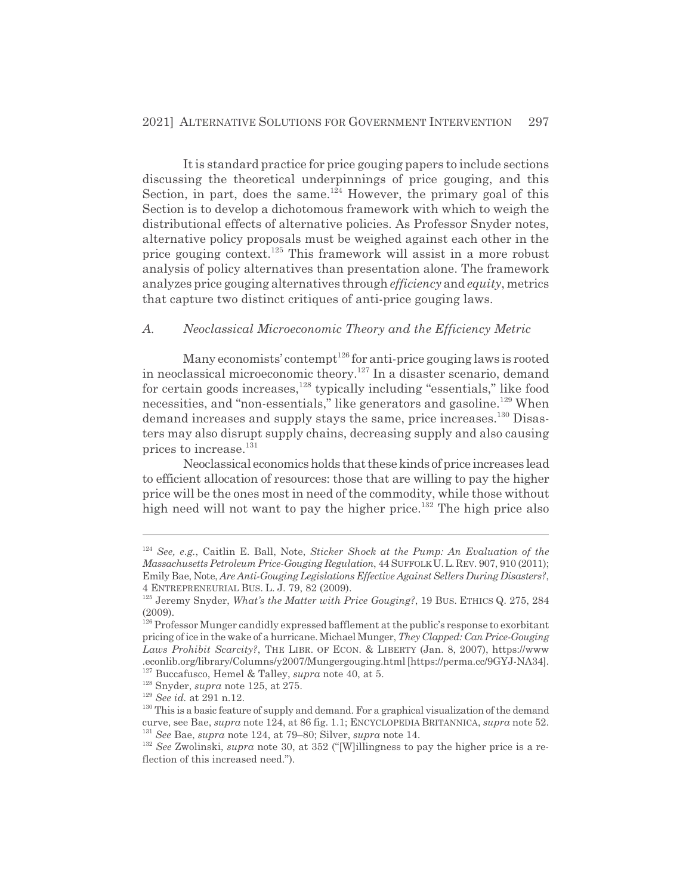It is standard practice for price gouging papers to include sections discussing the theoretical underpinnings of price gouging, and this Section, in part, does the same.<sup>124</sup> However, the primary goal of this Section is to develop a dichotomous framework with which to weigh the distributional effects of alternative policies. As Professor Snyder notes, alternative policy proposals must be weighed against each other in the price gouging context.<sup>125</sup> This framework will assist in a more robust analysis of policy alternatives than presentation alone. The framework analyzes price gouging alternatives through *efficiency* and *equity*, metrics that capture two distinct critiques of anti-price gouging laws.

# *A. Neoclassical Microeconomic Theory and the Efficiency Metric*

Many economists' contempt<sup>126</sup> for anti-price gouging laws is rooted in neoclassical microeconomic theory.127 In a disaster scenario, demand for certain goods increases, $128$  typically including "essentials," like food necessities, and "non-essentials," like generators and gasoline.<sup>129</sup> When demand increases and supply stays the same, price increases.<sup>130</sup> Disasters may also disrupt supply chains, decreasing supply and also causing prices to increase.<sup>131</sup>

Neoclassical economics holds that these kinds of price increases lead to efficient allocation of resources: those that are willing to pay the higher price will be the ones most in need of the commodity, while those without high need will not want to pay the higher price.<sup>132</sup> The high price also

<sup>124</sup> *See, e.g.*, Caitlin E. Ball, Note, *Sticker Shock at the Pump: An Evaluation of the Massachusetts Petroleum Price-Gouging Regulation*, 44 SUFFOLKU.L.REV. 907, 910 (2011); Emily Bae, Note, *Are Anti-Gouging Legislations Effective Against Sellers During Disasters?*, 4 ENTREPRENEURIAL BUS. L. J. 79, 82 (2009).

<sup>125</sup> Jeremy Snyder, *What's the Matter with Price Gouging?*, 19 BUS. ETHICS Q. 275, 284  $(2009)$ .

 $126$  Professor Munger candidly expressed bafflement at the public's response to exorbitant pricing of ice in the wake of a hurricane. Michael Munger, *They Clapped: Can Price-Gouging Laws Prohibit Scarcity?*, THE LIBR. OF ECON.&LIBERTY (Jan. 8, 2007), https://www .econlib.org/library/Columns/y2007/Mungergouging.html [https://perma.cc/9GYJ-NA34]. 127 Buccafusco, Hemel & Talley, *supra* note 40, at 5.

<sup>128</sup> Snyder, *supra* note 125, at 275.

<sup>129</sup> *See id.* at 291 n.12.

<sup>&</sup>lt;sup>130</sup> This is a basic feature of supply and demand. For a graphical visualization of the demand curve, see Bae, *supra* note 124, at 86 fig. 1.1; ENCYCLOPEDIA BRITANNICA, *supra* note 52. <sup>131</sup> *See* Bae, *supra* note 124, at 79–80; Silver, *supra* note 14.

<sup>&</sup>lt;sup>132</sup> *See* Zwolinski, *supra* note 30, at 352 ("[W]illingness to pay the higher price is a reflection of this increased need.").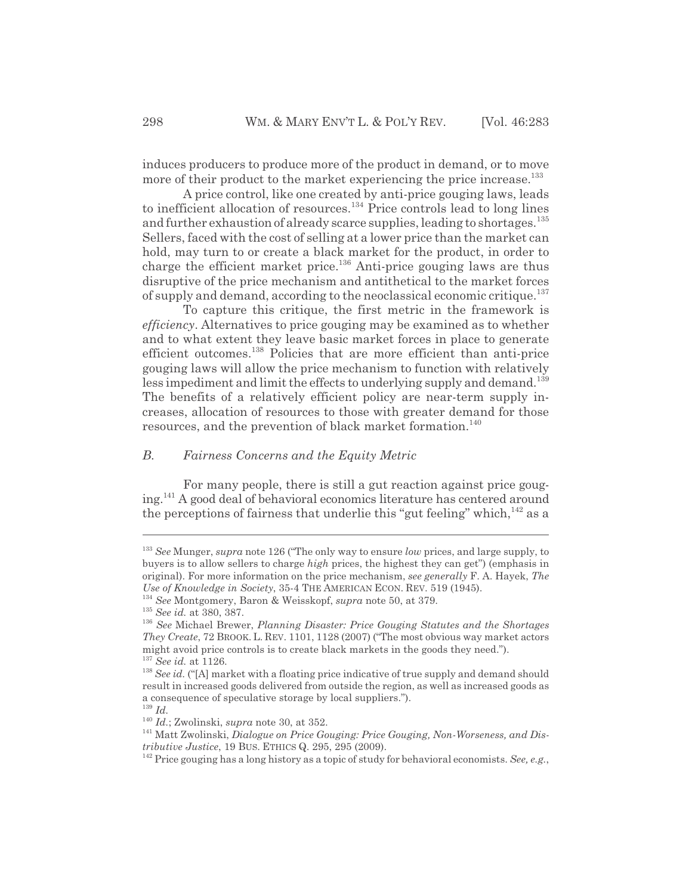induces producers to produce more of the product in demand, or to move more of their product to the market experiencing the price increase.<sup>133</sup>

A price control, like one created by anti-price gouging laws, leads to inefficient allocation of resources.<sup>134</sup> Price controls lead to long lines and further exhaustion of already scarce supplies, leading to shortages.<sup>135</sup> Sellers, faced with the cost of selling at a lower price than the market can hold, may turn to or create a black market for the product, in order to charge the efficient market price.136 Anti-price gouging laws are thus disruptive of the price mechanism and antithetical to the market forces of supply and demand, according to the neoclassical economic critique.<sup>137</sup>

To capture this critique, the first metric in the framework is *efficiency*. Alternatives to price gouging may be examined as to whether and to what extent they leave basic market forces in place to generate efficient outcomes.138 Policies that are more efficient than anti-price gouging laws will allow the price mechanism to function with relatively less impediment and limit the effects to underlying supply and demand.<sup>139</sup> The benefits of a relatively efficient policy are near-term supply increases, allocation of resources to those with greater demand for those resources, and the prevention of black market formation.<sup>140</sup>

# *B. Fairness Concerns and the Equity Metric*

For many people, there is still a gut reaction against price gouging.141 A good deal of behavioral economics literature has centered around the perceptions of fairness that underlie this "gut feeling" which,  $^{142}$  as a

<sup>133</sup> *See* Munger, *supra* note 126 ("The only way to ensure *low* prices, and large supply, to buyers is to allow sellers to charge *high* prices, the highest they can get") (emphasis in original). For more information on the price mechanism, *see generally* F. A. Hayek, *The Use of Knowledge in Society*, 35-4 THE AMERICAN ECON. REV. 519 (1945).

<sup>134</sup> *See* Montgomery, Baron & Weisskopf, *supra* note 50, at 379.

<sup>135</sup> *See id.* at 380, 387.

<sup>136</sup> *See* Michael Brewer, *Planning Disaster: Price Gouging Statutes and the Shortages They Create*, 72 BROOK. L. REV. 1101, 1128 (2007) ("The most obvious way market actors might avoid price controls is to create black markets in the goods they need.").

<sup>137</sup> *See id.* at 1126.

<sup>&</sup>lt;sup>138</sup> *See id.* ("[A] market with a floating price indicative of true supply and demand should result in increased goods delivered from outside the region, as well as increased goods as a consequence of speculative storage by local suppliers.").

<sup>139</sup> *Id.*

<sup>140</sup> *Id.*; Zwolinski, *supra* note 30, at 352.

<sup>141</sup> Matt Zwolinski, *Dialogue on Price Gouging: Price Gouging, Non-Worseness, and Distributive Justice*, 19 BUS. ETHICS Q. 295, 295 (2009).

<sup>142</sup> Price gouging has a long history as a topic of study for behavioral economists. *See, e.g.*,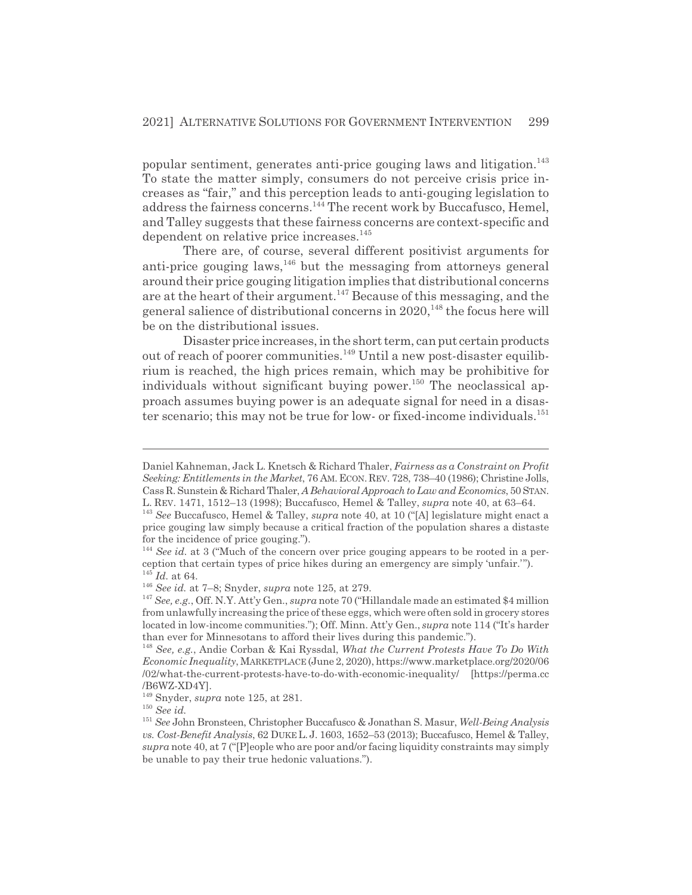popular sentiment, generates anti-price gouging laws and litigation.<sup>143</sup> To state the matter simply, consumers do not perceive crisis price increases as "fair," and this perception leads to anti-gouging legislation to address the fairness concerns.<sup>144</sup> The recent work by Buccafusco, Hemel, and Talley suggests that these fairness concerns are context-specific and dependent on relative price increases.<sup>145</sup>

There are, of course, several different positivist arguments for anti-price gouging laws,  $146$  but the messaging from attorneys general around their price gouging litigation implies that distributional concerns are at the heart of their argument.<sup>147</sup> Because of this messaging, and the general salience of distributional concerns in  $2020$ ,<sup>148</sup> the focus here will be on the distributional issues.

Disaster price increases, in the short term, can put certain products out of reach of poorer communities.<sup>149</sup> Until a new post-disaster equilibrium is reached, the high prices remain, which may be prohibitive for individuals without significant buying power.<sup>150</sup> The neoclassical approach assumes buying power is an adequate signal for need in a disaster scenario; this may not be true for low- or fixed-income individuals.<sup>151</sup>

Daniel Kahneman, Jack L. Knetsch & Richard Thaler, *Fairness as a Constraint on Profit Seeking: Entitlements in the Market*, 76 AM. ECON.REV. 728, 738–40 (1986); Christine Jolls, Cass R. Sunstein & Richard Thaler, *A Behavioral Approach to Law and Economics*, 50 STAN. L. REV. 1471, 1512–13 (1998); Buccafusco, Hemel & Talley, *supra* note 40, at 63–64.

<sup>143</sup> *See* Buccafusco, Hemel & Talley, *supra* note 40, at 10 ("[A] legislature might enact a price gouging law simply because a critical fraction of the population shares a distaste for the incidence of price gouging.").

<sup>&</sup>lt;sup>144</sup> See id. at 3 ("Much of the concern over price gouging appears to be rooted in a perception that certain types of price hikes during an emergency are simply 'unfair.'"). <sup>145</sup> *Id.* at 64.

<sup>146</sup> *See id.* at 7–8; Snyder, *supra* note 125, at 279.

<sup>147</sup> *See, e.g.*, Off. N.Y. Att'y Gen., *supra* note 70 ("Hillandale made an estimated \$4 million from unlawfully increasing the price of these eggs, which were often sold in grocery stores located in low-income communities."); Off. Minn. Att'y Gen., *supra* note 114 ("It's harder than ever for Minnesotans to afford their lives during this pandemic.").

<sup>148</sup> *See, e.g.*, Andie Corban & Kai Ryssdal, *What the Current Protests Have To Do With Economic Inequality*, MARKETPLACE (June 2, 2020), https://www.marketplace.org/2020/06 /02/what-the-current-protests-have-to-do-with-economic-inequality/ [https://perma.cc /B6WZ-XD4Y].

<sup>149</sup> Snyder, *supra* note 125, at 281.

<sup>150</sup> *See id.*

<sup>151</sup> *See* John Bronsteen, Christopher Buccafusco & Jonathan S. Masur, *Well-Being Analysis vs. Cost-Benefit Analysis*, 62 DUKE L. J. 1603, 1652–53 (2013); Buccafusco, Hemel & Talley, *supra* note 40, at 7 ("[P]eople who are poor and/or facing liquidity constraints may simply be unable to pay their true hedonic valuations.").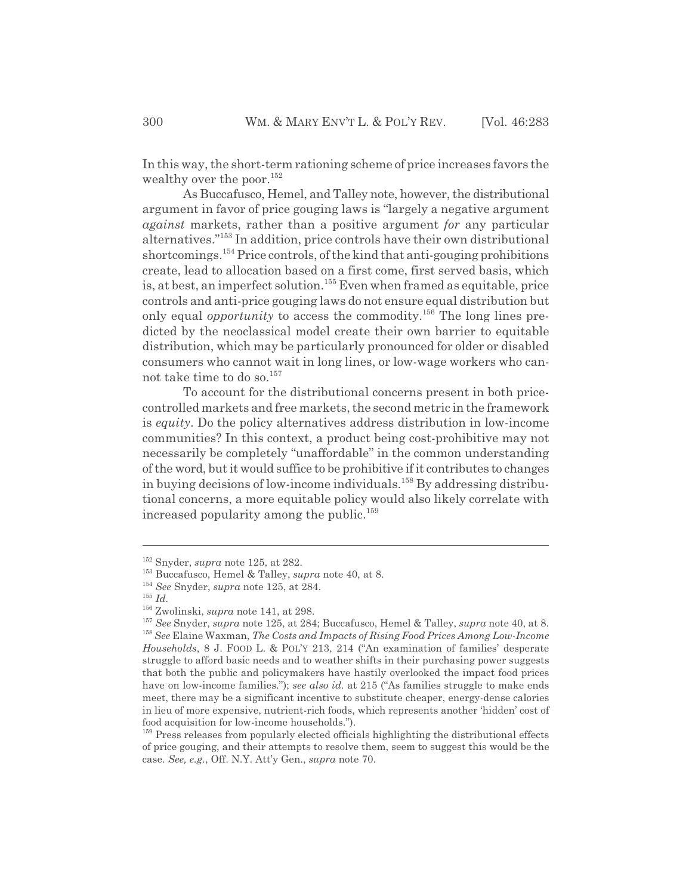In this way, the short-term rationing scheme of price increases favors the wealthy over the poor.<sup>152</sup>

As Buccafusco, Hemel, and Talley note, however, the distributional argument in favor of price gouging laws is "largely a negative argument *against* markets, rather than a positive argument *for* any particular alternatives."153 In addition, price controls have their own distributional shortcomings.154 Price controls, of the kind that anti-gouging prohibitions create, lead to allocation based on a first come, first served basis, which is, at best, an imperfect solution.<sup>155</sup> Even when framed as equitable, price controls and anti-price gouging laws do not ensure equal distribution but only equal *opportunity* to access the commodity.<sup>156</sup> The long lines predicted by the neoclassical model create their own barrier to equitable distribution, which may be particularly pronounced for older or disabled consumers who cannot wait in long lines, or low-wage workers who cannot take time to do so.<sup>157</sup>

To account for the distributional concerns present in both pricecontrolled markets and free markets, the second metric in the framework is *equity*. Do the policy alternatives address distribution in low-income communities? In this context, a product being cost-prohibitive may not necessarily be completely "unaffordable" in the common understanding of the word, but it would suffice to be prohibitive if it contributes to changes in buying decisions of low-income individuals.158 By addressing distributional concerns, a more equitable policy would also likely correlate with increased popularity among the public.<sup>159</sup>

<sup>152</sup> Snyder, *supra* note 125, at 282.

<sup>153</sup> Buccafusco, Hemel & Talley, *supra* note 40, at 8.

<sup>154</sup> *See* Snyder, *supra* note 125, at 284.

<sup>155</sup> *Id.*

<sup>156</sup> Zwolinski, *supra* note 141, at 298.

<sup>157</sup> *See* Snyder, *supra* note 125, at 284; Buccafusco, Hemel & Talley, *supra* note 40, at 8. <sup>158</sup> *See* Elaine Waxman, *The Costs and Impacts of Rising Food Prices Among Low-Income Households*, 8 J. FOOD L. & POL'Y 213, 214 ("An examination of families' desperate struggle to afford basic needs and to weather shifts in their purchasing power suggests that both the public and policymakers have hastily overlooked the impact food prices have on low-income families."); *see also id.* at 215 ("As families struggle to make ends meet, there may be a significant incentive to substitute cheaper, energy-dense calories in lieu of more expensive, nutrient-rich foods, which represents another 'hidden' cost of food acquisition for low-income households.").

<sup>&</sup>lt;sup>159</sup> Press releases from popularly elected officials highlighting the distributional effects of price gouging, and their attempts to resolve them, seem to suggest this would be the case. *See, e.g.*, Off. N.Y. Att'y Gen., *supra* note 70.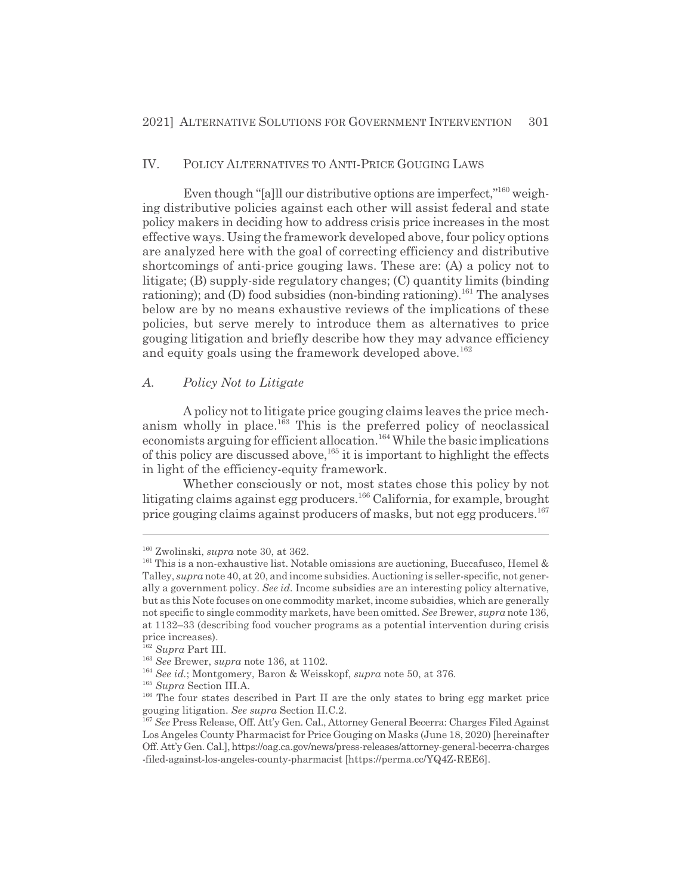# IV. POLICY ALTERNATIVES TO ANTI-PRICE GOUGING LAWS

Even though "[a]ll our distributive options are imperfect,"<sup>160</sup> weighing distributive policies against each other will assist federal and state policy makers in deciding how to address crisis price increases in the most effective ways. Using the framework developed above, four policy options are analyzed here with the goal of correcting efficiency and distributive shortcomings of anti-price gouging laws. These are: (A) a policy not to litigate; (B) supply-side regulatory changes; (C) quantity limits (binding rationing); and (D) food subsidies (non-binding rationing).<sup>161</sup> The analyses below are by no means exhaustive reviews of the implications of these policies, but serve merely to introduce them as alternatives to price gouging litigation and briefly describe how they may advance efficiency and equity goals using the framework developed above.<sup>162</sup>

#### *A. Policy Not to Litigate*

A policy not to litigate price gouging claims leaves the price mechanism wholly in place.<sup>163</sup> This is the preferred policy of neoclassical economists arguing for efficient allocation.<sup>164</sup> While the basic implications of this policy are discussed above,  $165$  it is important to highlight the effects in light of the efficiency-equity framework.

Whether consciously or not, most states chose this policy by not litigating claims against egg producers.166 California, for example, brought price gouging claims against producers of masks, but not egg producers.<sup>167</sup>

<sup>160</sup> Zwolinski, *supra* note 30, at 362.

 $161$  This is a non-exhaustive list. Notable omissions are auctioning, Buccafusco, Hemel & Talley, *supra* note 40, at 20, and income subsidies. Auctioning is seller-specific, not generally a government policy. *See id.* Income subsidies are an interesting policy alternative, but as this Note focuses on one commodity market, income subsidies, which are generally not specific to single commodity markets, have been omitted. *See* Brewer, *supra* note 136, at 1132–33 (describing food voucher programs as a potential intervention during crisis price increases).

<sup>162</sup> *Supra* Part III.

<sup>163</sup> *See* Brewer, *supra* note 136, at 1102.

<sup>164</sup> *See id.*; Montgomery, Baron & Weisskopf, *supra* note 50, at 376.

<sup>165</sup> *Supra* Section III.A.

<sup>&</sup>lt;sup>166</sup> The four states described in Part II are the only states to bring egg market price gouging litigation. *See supra* Section II.C.2.

<sup>167</sup> *See* Press Release, Off. Att'y Gen. Cal., Attorney General Becerra: Charges Filed Against Los Angeles County Pharmacist for Price Gouging on Masks (June 18, 2020) [hereinafter Off. Att'y Gen. Cal.], https://oag.ca.gov/news/press-releases/attorney-general-becerra-charges -filed-against-los-angeles-county-pharmacist [https://perma.cc/YQ4Z-REE6].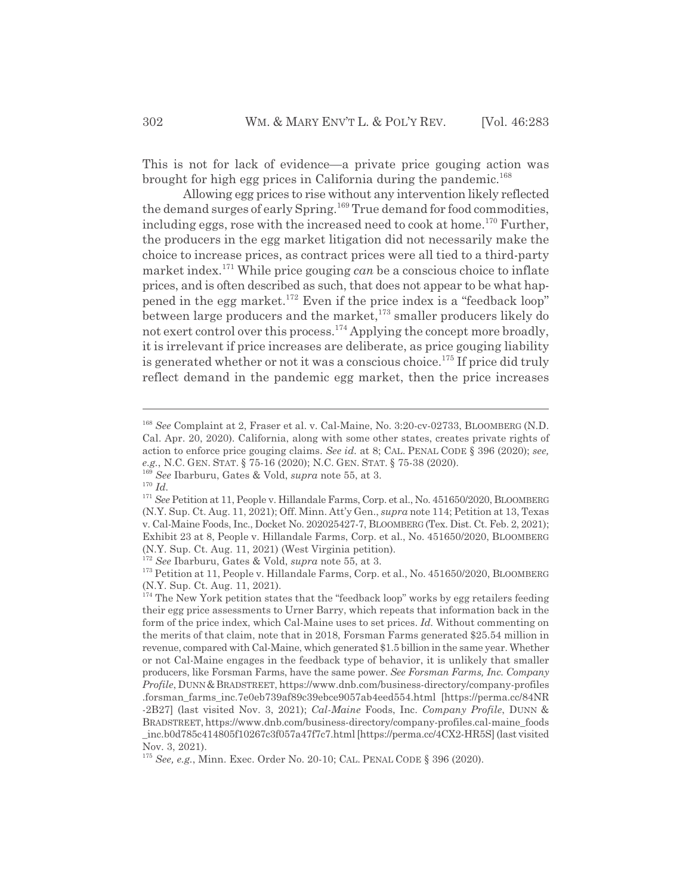This is not for lack of evidence—a private price gouging action was brought for high egg prices in California during the pandemic.<sup>168</sup>

Allowing egg prices to rise without any intervention likely reflected the demand surges of early Spring.169 True demand for food commodities, including eggs, rose with the increased need to cook at home.<sup>170</sup> Further, the producers in the egg market litigation did not necessarily make the choice to increase prices, as contract prices were all tied to a third-party market index.171 While price gouging *can* be a conscious choice to inflate prices, and is often described as such, that does not appear to be what happened in the egg market.<sup>172</sup> Even if the price index is a "feedback loop" between large producers and the market,<sup>173</sup> smaller producers likely do not exert control over this process.174 Applying the concept more broadly, it is irrelevant if price increases are deliberate, as price gouging liability is generated whether or not it was a conscious choice.<sup>175</sup> If price did truly reflect demand in the pandemic egg market, then the price increases

<sup>168</sup> *See* Complaint at 2, Fraser et al. v. Cal-Maine, No. 3:20-cv-02733, BLOOMBERG (N.D. Cal. Apr. 20, 2020). California, along with some other states, creates private rights of action to enforce price gouging claims. *See id.* at 8; CAL. PENAL CODE § 396 (2020); *see, e.g.*, N.C. GEN. STAT. § 75-16 (2020); N.C. GEN. STAT. § 75-38 (2020).

<sup>169</sup> *See* Ibarburu, Gates & Vold, *supra* note 55, at 3.

<sup>170</sup> *Id.*

<sup>171</sup> *See* Petition at 11, People v. Hillandale Farms, Corp. et al., No. 451650/2020, BLOOMBERG (N.Y. Sup. Ct. Aug. 11, 2021); Off. Minn. Att'y Gen., *supra* note 114; Petition at 13, Texas v. Cal-Maine Foods, Inc., Docket No. 202025427-7, BLOOMBERG (Tex. Dist. Ct. Feb. 2, 2021); Exhibit 23 at 8, People v. Hillandale Farms, Corp. et al., No. 451650/2020, BLOOMBERG (N.Y. Sup. Ct. Aug. 11, 2021) (West Virginia petition).

<sup>172</sup> *See* Ibarburu, Gates & Vold, *supra* note 55, at 3.

<sup>173</sup> Petition at 11, People v. Hillandale Farms, Corp. et al., No. 451650/2020, BLOOMBERG (N.Y. Sup. Ct. Aug. 11, 2021).

 $174$  The New York petition states that the "feedback loop" works by egg retailers feeding their egg price assessments to Urner Barry, which repeats that information back in the form of the price index, which Cal-Maine uses to set prices. *Id.* Without commenting on the merits of that claim, note that in 2018, Forsman Farms generated \$25.54 million in revenue, compared with Cal-Maine, which generated \$1.5 billion in the same year. Whether or not Cal-Maine engages in the feedback type of behavior, it is unlikely that smaller producers, like Forsman Farms, have the same power. *See Forsman Farms, Inc. Company Profile*, DUNN &BRADSTREET, https://www.dnb.com/business-directory/company-profiles .forsman\_farms\_inc.7e0eb739af89c39ebce9057ab4eed554.html [https://perma.cc/84NR -2B27] (last visited Nov. 3, 2021); *Cal-Maine* Foods, Inc. *Company Profile*, DUNN & BRADSTREET, https://www.dnb.com/business-directory/company-profiles.cal-maine\_foods \_inc.b0d785c414805f10267c3f057a47f7c7.html [https://perma.cc/4CX2-HR5S] (last visited Nov. 3, 2021).

<sup>175</sup> *See, e.g.*, Minn. Exec. Order No. 20-10; CAL. PENAL CODE § 396 (2020).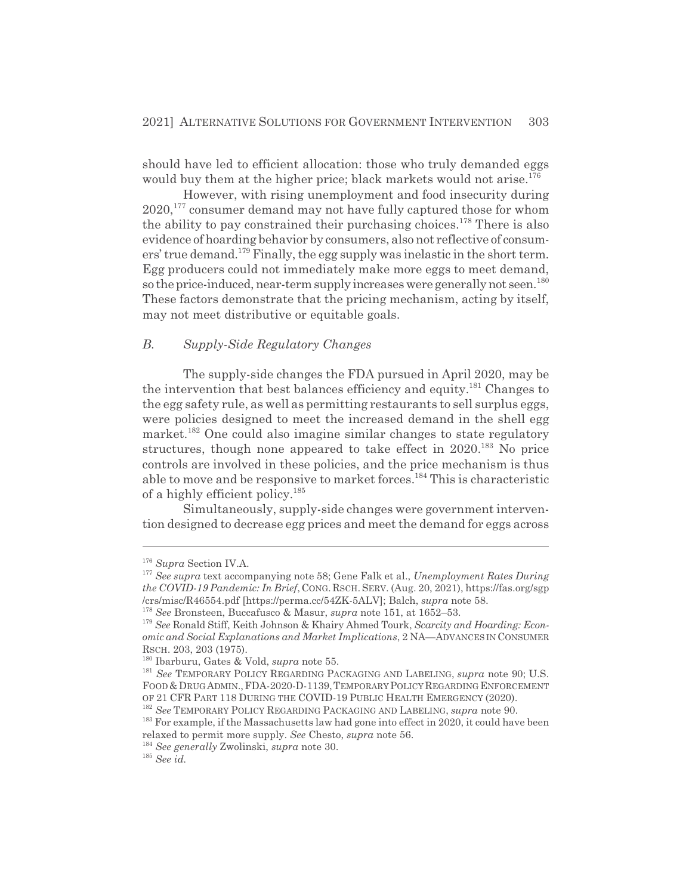should have led to efficient allocation: those who truly demanded eggs would buy them at the higher price; black markets would not arise.<sup>176</sup>

However, with rising unemployment and food insecurity during 2020,177 consumer demand may not have fully captured those for whom the ability to pay constrained their purchasing choices.<sup>178</sup> There is also evidence of hoarding behavior by consumers, also not reflective of consumers' true demand.<sup>179</sup> Finally, the egg supply was inelastic in the short term. Egg producers could not immediately make more eggs to meet demand, so the price-induced, near-term supply increases were generally not seen.<sup>180</sup> These factors demonstrate that the pricing mechanism, acting by itself, may not meet distributive or equitable goals.

# *B. Supply-Side Regulatory Changes*

The supply-side changes the FDA pursued in April 2020, may be the intervention that best balances efficiency and equity.<sup>181</sup> Changes to the egg safety rule, as well as permitting restaurants to sell surplus eggs, were policies designed to meet the increased demand in the shell egg market.<sup>182</sup> One could also imagine similar changes to state regulatory structures, though none appeared to take effect in  $2020$ <sup>183</sup> No price controls are involved in these policies, and the price mechanism is thus able to move and be responsive to market forces.<sup>184</sup> This is characteristic of a highly efficient policy.<sup>185</sup>

Simultaneously, supply-side changes were government intervention designed to decrease egg prices and meet the demand for eggs across

<sup>176</sup> *Supra* Section IV.A.

<sup>177</sup> *See supra* text accompanying note 58; Gene Falk et al., *Unemployment Rates During the COVID-19 Pandemic: In Brief*, CONG. RSCH. SERV. (Aug. 20, 2021), https://fas.org/sgp /crs/misc/R46554.pdf [https://perma.cc/54ZK-5ALV]; Balch, *supra* note 58.

<sup>178</sup> *See* Bronsteen, Buccafusco & Masur, *supra* note 151, at 1652–53.

<sup>179</sup> *See* Ronald Stiff, Keith Johnson & Khairy Ahmed Tourk, *Scarcity and Hoarding: Economic and Social Explanations and Market Implications*, 2 NA—ADVANCES IN CONSUMER RSCH. 203, 203 (1975).

<sup>180</sup> Ibarburu, Gates & Vold, *supra* note 55.

<sup>181</sup> *See* TEMPORARY POLICY REGARDING PACKAGING AND LABELING, *supra* note 90; U.S. FOOD&DRUG ADMIN.,FDA-2020-D-1139,TEMPORARY POLICYREGARDING ENFORCEMENT OF 21 CFR PART 118 DURING THE COVID-19 PUBLIC HEALTH EMERGENCY (2020).

<sup>182</sup> *See* TEMPORARY POLICY REGARDING PACKAGING AND LABELING, *supra* note 90.

<sup>&</sup>lt;sup>183</sup> For example, if the Massachusetts law had gone into effect in 2020, it could have been relaxed to permit more supply. *See* Chesto, *supra* note 56.

<sup>184</sup> *See generally* Zwolinski, *supra* note 30.

<sup>185</sup> *See id.*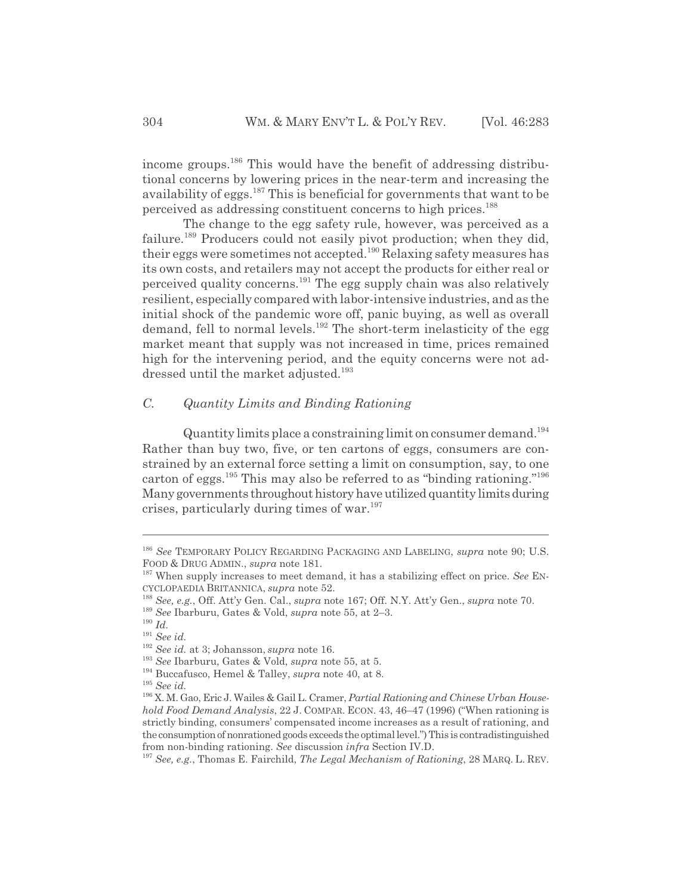income groups.186 This would have the benefit of addressing distributional concerns by lowering prices in the near-term and increasing the availability of eggs.<sup>187</sup> This is beneficial for governments that want to be perceived as addressing constituent concerns to high prices.<sup>188</sup>

The change to the egg safety rule, however, was perceived as a failure.<sup>189</sup> Producers could not easily pivot production; when they did, their eggs were sometimes not accepted.190 Relaxing safety measures has its own costs, and retailers may not accept the products for either real or perceived quality concerns.191 The egg supply chain was also relatively resilient, especially compared with labor-intensive industries, and as the initial shock of the pandemic wore off, panic buying, as well as overall demand, fell to normal levels.<sup>192</sup> The short-term inelasticity of the egg market meant that supply was not increased in time, prices remained high for the intervening period, and the equity concerns were not addressed until the market adjusted.<sup>193</sup>

# *C. Quantity Limits and Binding Rationing*

Quantity limits place a constraining limit on consumer demand.194 Rather than buy two, five, or ten cartons of eggs, consumers are constrained by an external force setting a limit on consumption, say, to one carton of eggs.<sup>195</sup> This may also be referred to as "binding rationing."<sup>196</sup> Many governments throughout history have utilized quantity limits during crises, particularly during times of war.197

<sup>186</sup> *See* TEMPORARY POLICY REGARDING PACKAGING AND LABELING, *supra* note 90; U.S. FOOD & DRUG ADMIN., *supra* note 181.

<sup>187</sup> When supply increases to meet demand, it has a stabilizing effect on price. *See* EN-CYCLOPAEDIA BRITANNICA, *supra* note 52.

<sup>188</sup> *See, e.g.*, Off. Att'y Gen. Cal., *supra* note 167; Off. N.Y. Att'y Gen., *supra* note 70.

<sup>189</sup> *See* Ibarburu, Gates & Vold, *supra* note 55, at 2–3.

<sup>190</sup> *Id.*

<sup>191</sup> *See id.*

<sup>192</sup> *See id.* at 3; Johansson, *supra* note 16.

<sup>193</sup> *See* Ibarburu, Gates & Vold, *supra* note 55, at 5.

<sup>194</sup> Buccafusco, Hemel & Talley, *supra* note 40, at 8.

<sup>195</sup> *See id.*

<sup>196</sup> X. M. Gao, Eric J. Wailes & Gail L. Cramer, *Partial Rationing and Chinese Urban Household Food Demand Analysis*, 22 J. COMPAR. ECON. 43, 46–47 (1996) ("When rationing is strictly binding, consumers' compensated income increases as a result of rationing, and the consumption of nonrationed goods exceeds the optimal level.") This is contradistinguished from non-binding rationing. *See* discussion *infra* Section IV.D.

<sup>197</sup> *See, e.g.*, Thomas E. Fairchild, *The Legal Mechanism of Rationing*, 28 MARQ. L. REV.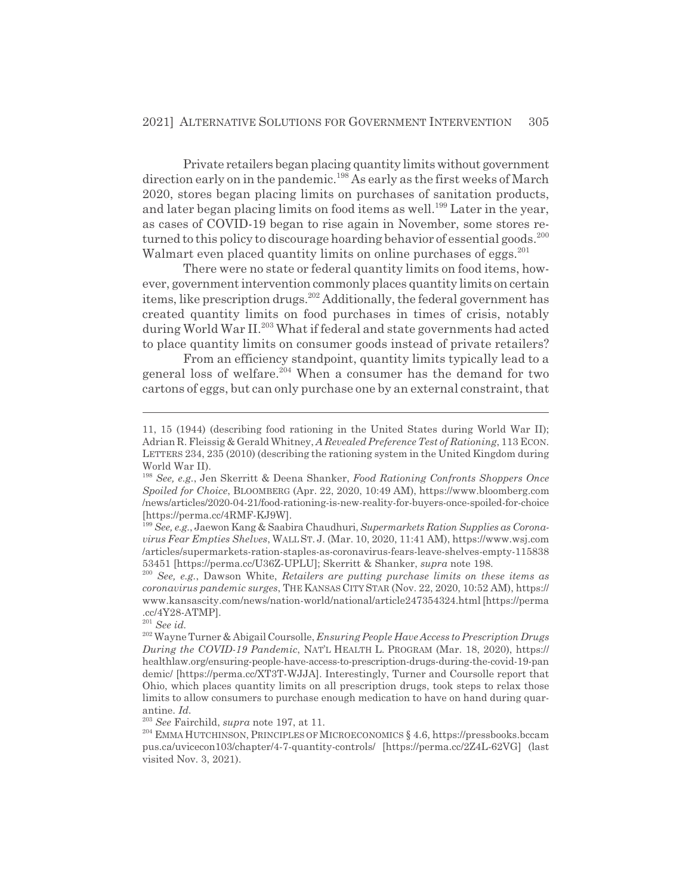Private retailers began placing quantity limits without government direction early on in the pandemic.198 As early as the first weeks of March 2020, stores began placing limits on purchases of sanitation products, and later began placing limits on food items as well.<sup>199</sup> Later in the year, as cases of COVID-19 began to rise again in November, some stores returned to this policy to discourage hoarding behavior of essential goods.<sup>200</sup> Walmart even placed quantity limits on online purchases of eggs.<sup>201</sup>

There were no state or federal quantity limits on food items, however, government intervention commonly places quantity limits on certain items, like prescription drugs.<sup>202</sup> Additionally, the federal government has created quantity limits on food purchases in times of crisis, notably during World War II.<sup>203</sup> What if federal and state governments had acted to place quantity limits on consumer goods instead of private retailers?

From an efficiency standpoint, quantity limits typically lead to a general loss of welfare.<sup>204</sup> When a consumer has the demand for two cartons of eggs, but can only purchase one by an external constraint, that

<sup>203</sup> *See* Fairchild, *supra* note 197, at 11.

204 EMMA HUTCHINSON, PRINCIPLES OF MICROECONOMICS § 4.6, https://pressbooks.bccam pus.ca/uvicecon103/chapter/4-7-quantity-controls/ [https://perma.cc/2Z4L-62VG] (last visited Nov. 3, 2021).

<sup>11, 15 (1944) (</sup>describing food rationing in the United States during World War II); Adrian R. Fleissig & Gerald Whitney, *A Revealed Preference Test of Rationing*, 113 ECON. LETTERS 234, 235 (2010) (describing the rationing system in the United Kingdom during World War II).

<sup>198</sup> *See, e.g.*, Jen Skerritt & Deena Shanker, *Food Rationing Confronts Shoppers Once Spoiled for Choice*, BLOOMBERG (Apr. 22, 2020, 10:49 AM), https://www.bloomberg.com /news/articles/2020-04-21/food-rationing-is-new-reality-for-buyers-once-spoiled-for-choice [https://perma.cc/4RMF-KJ9W].

<sup>199</sup> *See, e.g.*, Jaewon Kang & Saabira Chaudhuri, *Supermarkets Ration Supplies as Coronavirus Fear Empties Shelves*, WALL ST. J. (Mar. 10, 2020, 11:41 AM), https://www.wsj.com /articles/supermarkets-ration-staples-as-coronavirus-fears-leave-shelves-empty-115838 53451 [https://perma.cc/U36Z-UPLU]; Skerritt & Shanker, *supra* note 198.

<sup>200</sup> *See, e.g.*, Dawson White, *Retailers are putting purchase limits on these items as coronavirus pandemic surges*, THE KANSAS CITY STAR (Nov. 22, 2020, 10:52 AM), https:// www.kansascity.com/news/nation-world/national/article247354324.html [https://perma .cc/4Y28-ATMP].

<sup>201</sup> *See id.*

<sup>202</sup> Wayne Turner & Abigail Coursolle, *Ensuring People Have Access to Prescription Drugs During the COVID-19 Pandemic*, NAT'L HEALTH L. PROGRAM (Mar. 18, 2020), https:// healthlaw.org/ensuring-people-have-access-to-prescription-drugs-during-the-covid-19-pan demic/ [https://perma.cc/XT3T-WJJA]. Interestingly, Turner and Coursolle report that Ohio, which places quantity limits on all prescription drugs, took steps to relax those limits to allow consumers to purchase enough medication to have on hand during quarantine. *Id.*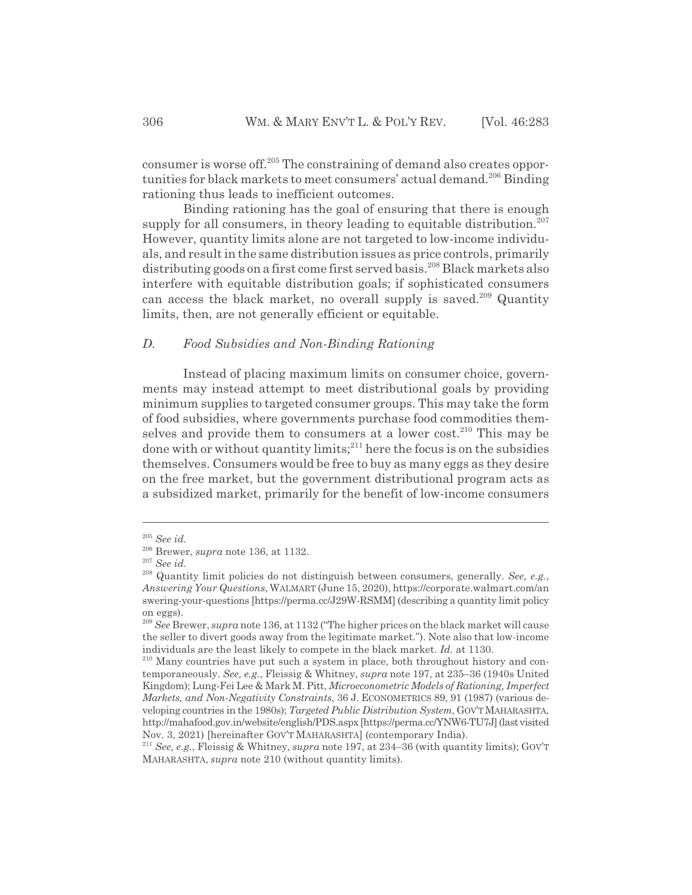consumer is worse off.205 The constraining of demand also creates opportunities for black markets to meet consumers' actual demand.<sup>206</sup> Binding rationing thus leads to inefficient outcomes.

Binding rationing has the goal of ensuring that there is enough supply for all consumers, in theory leading to equitable distribution.<sup>207</sup> However, quantity limits alone are not targeted to low-income individuals, and result in the same distribution issues as price controls, primarily distributing goods on a first come first served basis.<sup>208</sup> Black markets also interfere with equitable distribution goals; if sophisticated consumers can access the black market, no overall supply is saved.<sup>209</sup> Quantity limits, then, are not generally efficient or equitable.

# *D. Food Subsidies and Non-Binding Rationing*

Instead of placing maximum limits on consumer choice, governments may instead attempt to meet distributional goals by providing minimum supplies to targeted consumer groups. This may take the form of food subsidies, where governments purchase food commodities themselves and provide them to consumers at a lower cost.<sup>210</sup> This may be done with  $\alpha$  without quantity limits;<sup>211</sup> here the focus is on the subsidies themselves. Consumers would be free to buy as many eggs as they desire on the free market, but the government distributional program acts as a subsidized market, primarily for the benefit of low-income consumers

<sup>205</sup> *See id.*

<sup>206</sup> Brewer, *supra* note 136, at 1132.

<sup>207</sup> *See id.*

<sup>208</sup> Quantity limit policies do not distinguish between consumers, generally. *See, e.g.*, *Answering Your Questions*, WALMART (June 15, 2020), https://corporate.walmart.com/an swering-your-questions [https://perma.cc/J29W-RSMM] (describing a quantity limit policy on eggs).

<sup>209</sup> *See* Brewer, *supra* note 136, at 1132 ("The higher prices on the black market will cause the seller to divert goods away from the legitimate market."). Note also that low-income individuals are the least likely to compete in the black market. *Id.* at 1130.

<sup>210</sup> Many countries have put such a system in place, both throughout history and contemporaneously. *See, e.g.*, Fleissig & Whitney, *supra* note 197, at 235–36 (1940s United Kingdom); Lung-Fei Lee & Mark M. Pitt, *Microeconometric Models of Rationing, Imperfect Markets, and Non-Negativity Constraints*, 36 J. ECONOMETRICS 89, 91 (1987) (various developing countries in the 1980s); *Targeted Public Distribution System*, GOV'TMAHARASHTA, http://mahafood.gov.in/website/english/PDS.aspx [https://perma.cc/YNW6-TU7J] (last visited Nov. 3, 2021) [hereinafter GOV'T MAHARASHTA] (contemporary India).

<sup>211</sup> *See, e.g.*, Fleissig & Whitney, *supra* note 197, at 234–36 (with quantity limits); GOV'T MAHARASHTA, *supra* note 210 (without quantity limits).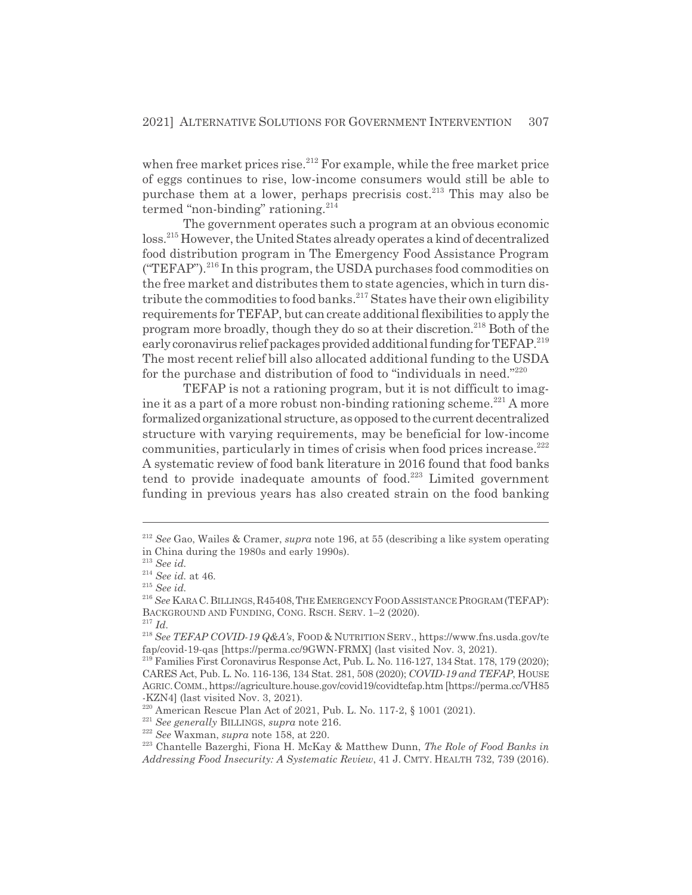when free market prices rise.<sup>212</sup> For example, while the free market price of eggs continues to rise, low-income consumers would still be able to purchase them at a lower, perhaps precrisis cost.<sup>213</sup> This may also be termed "non-binding" rationing.<sup>214</sup>

The government operates such a program at an obvious economic loss.215 However, the United States already operates a kind of decentralized food distribution program in The Emergency Food Assistance Program  $("TEFAP")$ <sup>216</sup> In this program, the USDA purchases food commodities on the free market and distributes them to state agencies, which in turn distribute the commodities to food banks.<sup>217</sup> States have their own eligibility requirements for TEFAP, but can create additional flexibilities to apply the program more broadly, though they do so at their discretion.<sup>218</sup> Both of the early coronavirus relief packages provided additional funding for TEFAP.<sup>219</sup> The most recent relief bill also allocated additional funding to the USDA for the purchase and distribution of food to "individuals in need."220

TEFAP is not a rationing program, but it is not difficult to imagine it as a part of a more robust non-binding rationing scheme.<sup>221</sup> A more formalized organizational structure, as opposed to the current decentralized structure with varying requirements, may be beneficial for low-income communities, particularly in times of crisis when food prices increase.<sup>222</sup> A systematic review of food bank literature in 2016 found that food banks tend to provide inadequate amounts of food. $223$  Limited government funding in previous years has also created strain on the food banking

<sup>212</sup> *See* Gao, Wailes & Cramer, *supra* note 196, at 55 (describing a like system operating in China during the 1980s and early 1990s).

<sup>213</sup> *See id.*

<sup>214</sup> *See id.* at 46.

<sup>215</sup> *See id.*

<sup>&</sup>lt;sup>216</sup> See KARA C. BILLINGS, R45408, THE EMERGENCY FOOD ASSISTANCE PROGRAM (TEFAP): BACKGROUND AND FUNDING, CONG. RSCH. SERV. 1–2 (2020).

<sup>217</sup> *Id.*

<sup>218</sup> *See TEFAP COVID-19 Q&A's*, FOOD & NUTRITION SERV., https://www.fns.usda.gov/te fap/covid-19-qas [https://perma.cc/9GWN-FRMX] (last visited Nov. 3, 2021).

<sup>&</sup>lt;sup>219</sup> Families First Coronavirus Response Act, Pub. L. No. 116-127, 134 Stat. 178, 179 (2020); CARES Act, Pub. L. No. 116-136, 134 Stat. 281, 508 (2020); *COVID-19 and TEFAP*, HOUSE AGRIC.COMM., https://agriculture.house.gov/covid19/covidtefap.htm [https://perma.cc/VH85 -KZN4] (last visited Nov. 3, 2021).

<sup>&</sup>lt;sup>220</sup> American Rescue Plan Act of 2021, Pub. L. No. 117-2, § 1001 (2021).

<sup>221</sup> *See generally* BILLINGS, *supra* note 216.

<sup>222</sup> *See* Waxman, *supra* note 158, at 220.

<sup>223</sup> Chantelle Bazerghi, Fiona H. McKay & Matthew Dunn, *The Role of Food Banks in Addressing Food Insecurity: A Systematic Review*, 41 J. CMTY. HEALTH 732, 739 (2016).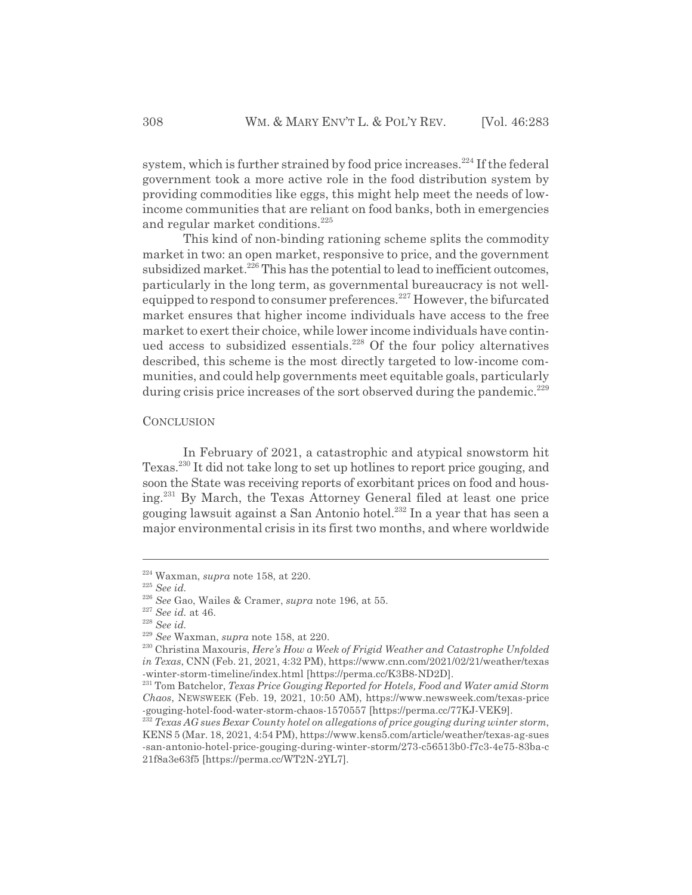system, which is further strained by food price increases.<sup>224</sup> If the federal government took a more active role in the food distribution system by providing commodities like eggs, this might help meet the needs of lowincome communities that are reliant on food banks, both in emergencies and regular market conditions.<sup>225</sup>

This kind of non-binding rationing scheme splits the commodity market in two: an open market, responsive to price, and the government subsidized market. $^{226}$  This has the potential to lead to inefficient outcomes, particularly in the long term, as governmental bureaucracy is not wellequipped to respond to consumer preferences.<sup>227</sup> However, the bifurcated market ensures that higher income individuals have access to the free market to exert their choice, while lower income individuals have continued access to subsidized essentials.228 Of the four policy alternatives described, this scheme is the most directly targeted to low-income communities, and could help governments meet equitable goals, particularly during crisis price increases of the sort observed during the pandemic.<sup>229</sup>

# **CONCLUSION**

In February of 2021, a catastrophic and atypical snowstorm hit Texas.230 It did not take long to set up hotlines to report price gouging, and soon the State was receiving reports of exorbitant prices on food and housing.231 By March, the Texas Attorney General filed at least one price gouging lawsuit against a San Antonio hotel.232 In a year that has seen a major environmental crisis in its first two months, and where worldwide

<sup>224</sup> Waxman, *supra* note 158, at 220.

<sup>225</sup> *See id.*

<sup>226</sup> *See* Gao, Wailes & Cramer, *supra* note 196, at 55.

<sup>227</sup> *See id.* at 46.

<sup>228</sup> *See id.*

<sup>229</sup> *See* Waxman, *supra* note 158, at 220.

<sup>230</sup> Christina Maxouris, *Here's How a Week of Frigid Weather and Catastrophe Unfolded in Texas*, CNN (Feb. 21, 2021, 4:32 PM), https://www.cnn.com/2021/02/21/weather/texas -winter-storm-timeline/index.html [https://perma.cc/K3B8-ND2D].

<sup>231</sup> Tom Batchelor, *Texas Price Gouging Reported for Hotels, Food and Water amid Storm Chaos*, NEWSWEEK (Feb. 19, 2021, 10:50 AM), https://www.newsweek.com/texas-price -gouging-hotel-food-water-storm-chaos-1570557 [https://perma.cc/77KJ-VEK9].

<sup>232</sup> *Texas AG sues Bexar County hotel on allegations of price gouging during winter storm*, KENS 5 (Mar. 18, 2021, 4:54 PM), https://www.kens5.com/article/weather/texas-ag-sues -san-antonio-hotel-price-gouging-during-winter-storm/273-c56513b0-f7c3-4e75-83ba-c 21f8a3e63f5 [https://perma.cc/WT2N-2YL7].